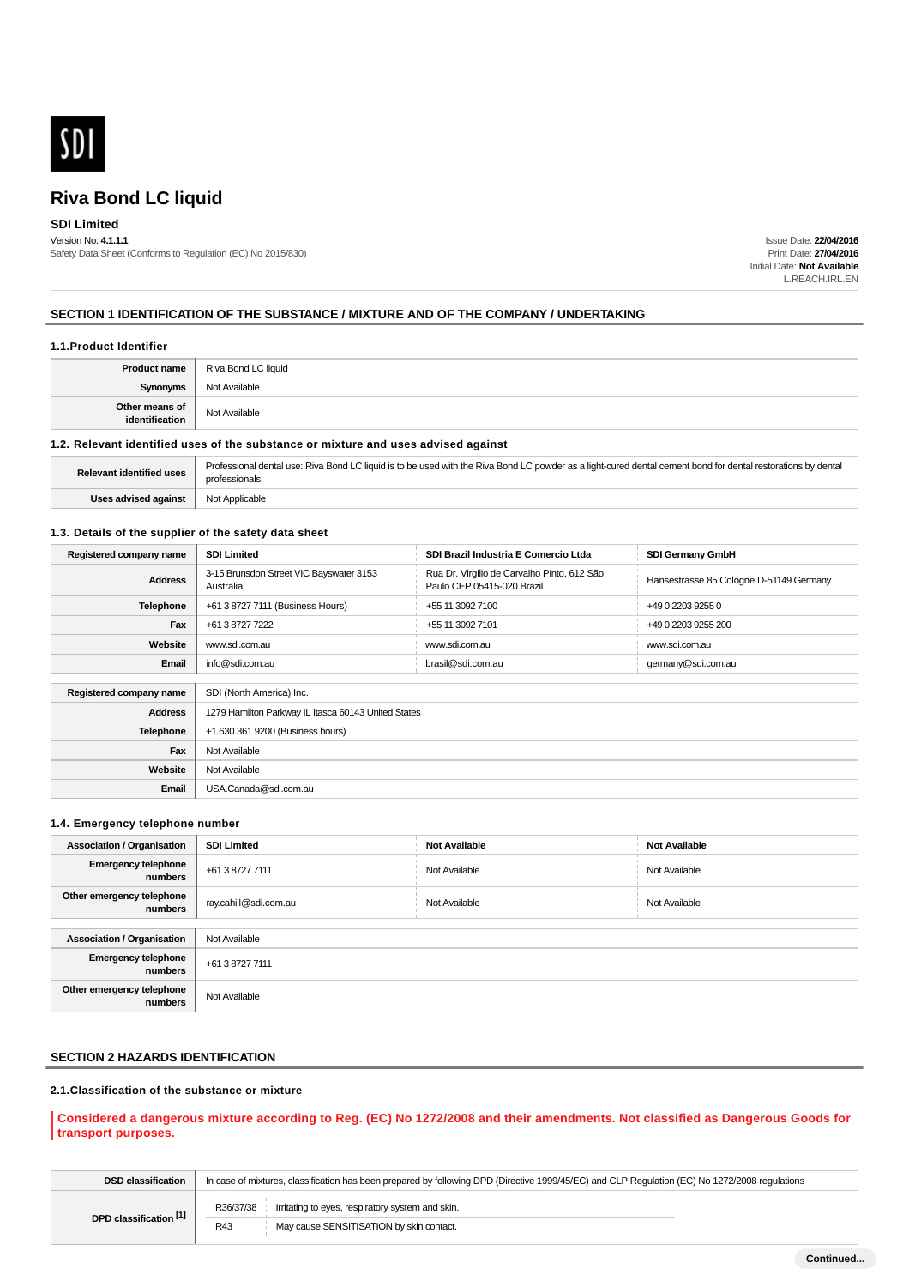

## **SDI Limited**

Version No: **4.1.1.1** Safety Data Sheet (Conforms to Regulation (EC) No 2015/830)

Issue Date: **22/04/2016** Print Date: **27/04/2016** Initial Date: **Not Available** L.REACH.IRL.EN

#### **SECTION 1 IDENTIFICATION OF THE SUBSTANCE / MIXTURE AND OF THE COMPANY / UNDERTAKING**

#### **1.1.Product Identifier**

| Product name                     | Riva Bond LC liquid |
|----------------------------------|---------------------|
| <b>Synonyms</b>                  | Not Available       |
| Other means of<br>identification | Not Available       |

#### **1.2. Relevant identified uses of the substance or mixture and uses advised against**

| Relevant identified uses | Professional dental use: Riva Bond LC liquid is to be used with the Riva Bond LC powder as a light-cured dental cement bond for dental restorations by dental<br>professionals. |
|--------------------------|---------------------------------------------------------------------------------------------------------------------------------------------------------------------------------|
| Uses advised against     | Not Applicable                                                                                                                                                                  |

#### **1.3. Details of the supplier of the safety data sheet**

| Registered company name | <b>SDI Limited</b><br>SDI Brazil Industria E Comercio Ltda<br><b>SDI Germany GmbH</b> |                                                                           |                                         |  |
|-------------------------|---------------------------------------------------------------------------------------|---------------------------------------------------------------------------|-----------------------------------------|--|
| <b>Address</b>          | 3-15 Brunsdon Street VIC Bayswater 3153<br>Australia                                  | Rua Dr. Virgilio de Carvalho Pinto, 612 São<br>Paulo CEP 05415-020 Brazil | Hansestrasse 85 Cologne D-51149 Germany |  |
| <b>Telephone</b>        | +61 3 8727 7111 (Business Hours)<br>+55 11 3092 7100<br>+49 0 2203 9255 0             |                                                                           |                                         |  |
| Fax                     | +61 3 8727 7222<br>+55 11 3092 7101<br>+49 0 2203 9255 200                            |                                                                           |                                         |  |
| Website                 | www.sdi.com.au<br>www.sdi.com.au<br>www.sdi.com.au                                    |                                                                           |                                         |  |
| Email                   | info@sdi.com.au<br>brasil@sdi.com.au<br>germany@sdi.com.au                            |                                                                           |                                         |  |
|                         |                                                                                       |                                                                           |                                         |  |
| Registered company name | SDI (North America) Inc.                                                              |                                                                           |                                         |  |
| <b>Address</b>          | 1279 Hamilton Parkway IL Itasca 60143 United States                                   |                                                                           |                                         |  |
| Telephone               | +1 630 361 9200 (Business hours)                                                      |                                                                           |                                         |  |
| Fax                     | Not Available                                                                         |                                                                           |                                         |  |
| Website                 | Not Available                                                                         |                                                                           |                                         |  |
| Email                   | USA.Canada@sdi.com.au                                                                 |                                                                           |                                         |  |

#### **1.4. Emergency telephone number**

| <b>Association / Organisation</b>     | <b>SDI Limited</b>    | <b>Not Available</b> | <b>Not Available</b> |
|---------------------------------------|-----------------------|----------------------|----------------------|
| <b>Emergency telephone</b><br>numbers | +61 3 8727 7111       | Not Available        | Not Available        |
| Other emergency telephone<br>numbers  | ray.cahill@sdi.com.au | Not Available        | Not Available        |
|                                       |                       |                      |                      |
| <b>Association / Organisation</b>     | Not Available         |                      |                      |
| <b>Emergency telephone</b><br>numbers | +61 3 8727 7111       |                      |                      |
| Other emergency telephone<br>numbers  | Not Available         |                      |                      |

#### **SECTION 2 HAZARDS IDENTIFICATION**

#### **2.1.Classification of the substance or mixture**

### **Considered a dangerous mixture according to Reg. (EC) No 1272/2008 and their amendments. Not classified as Dangerous Goods for transport purposes.**

| <b>DSD</b> classification | In case of mixtures, classification has been prepared by following DPD (Directive 1999/45/EC) and CLP Regulation (EC) No 1272/2008 regulations |
|---------------------------|------------------------------------------------------------------------------------------------------------------------------------------------|
| DPD classification [1]    | Irritating to eyes, respiratory system and skin.<br>R36/37/38                                                                                  |
|                           | May cause SENSITISATION by skin contact.<br>R43                                                                                                |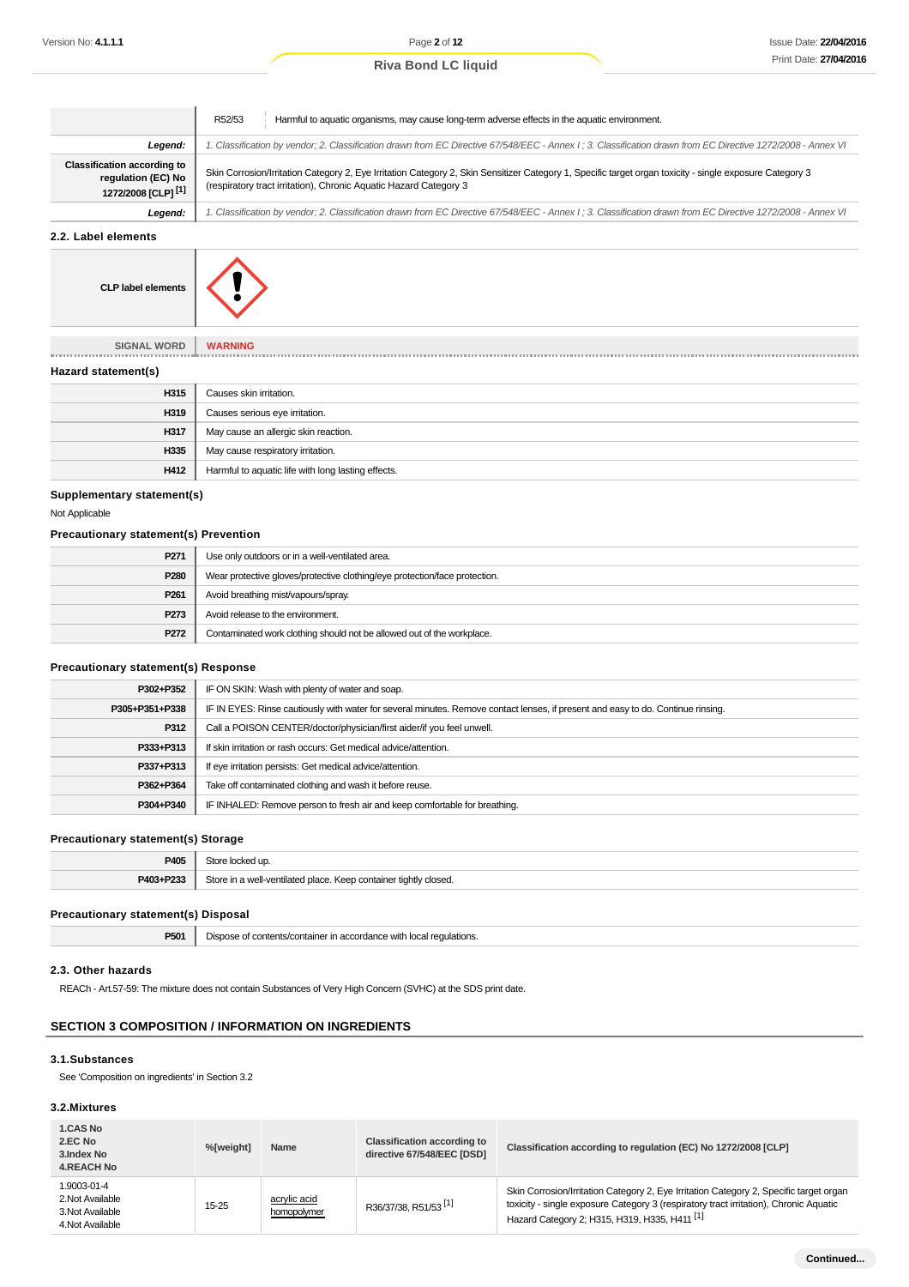|  | <b>Riva Bond LC liquid</b> |  |  |  |
|--|----------------------------|--|--|--|
|--|----------------------------|--|--|--|

|                                                                                            | Harmful to aquatic organisms, may cause long-term adverse effects in the aquatic environment.<br>R52/53                                                                                                                       |  |
|--------------------------------------------------------------------------------------------|-------------------------------------------------------------------------------------------------------------------------------------------------------------------------------------------------------------------------------|--|
| Legend:                                                                                    | 1. Classification by vendor; 2. Classification drawn from EC Directive 67/548/EEC - Annex I ; 3. Classification drawn from EC Directive 1272/2008 - Annex VI                                                                  |  |
| <b>Classification according to</b><br>regulation (EC) No<br>1272/2008 [CLP] <sup>[1]</sup> | Skin Corrosion/Irritation Category 2, Eye Irritation Category 2, Skin Sensitizer Category 1, Specific target organ toxicity - single exposure Category 3<br>(respiratory tract irritation), Chronic Aquatic Hazard Category 3 |  |
| Legend:                                                                                    | 1. Classification by vendor; 2. Classification drawn from EC Directive 67/548/EEC - Annex I; 3. Classification drawn from EC Directive 1272/2008 - Annex VI                                                                   |  |

**2.2. Label elements**



**SIGNAL WORD WARNING**

#### **Hazard statement(s)**

| H315 | Causes skin irritation.                            |
|------|----------------------------------------------------|
| H319 | Causes serious eye irritation.                     |
| H317 | May cause an allergic skin reaction.               |
| H335 | May cause respiratory irritation.                  |
| H412 | Harmful to aquatic life with long lasting effects. |

#### **Supplementary statement(s)**

Not Applicable

#### **Precautionary statement(s) Prevention**

| P271             | Use only outdoors or in a well-ventilated area.                            |
|------------------|----------------------------------------------------------------------------|
| P280             | Wear protective gloves/protective clothing/eye protection/face protection. |
| P <sub>261</sub> | Avoid breathing mist/vapours/spray.                                        |
| P273             | Avoid release to the environment.                                          |
| P272             | Contaminated work clothing should not be allowed out of the workplace.     |

#### **Precautionary statement(s) Response**

| P302+P352      | IF ON SKIN: Wash with plenty of water and soap.                                                                                  |
|----------------|----------------------------------------------------------------------------------------------------------------------------------|
| P305+P351+P338 | IF IN EYES: Rinse cautiously with water for several minutes. Remove contact lenses, if present and easy to do. Continue rinsing. |
| P312           | Call a POISON CENTER/doctor/physician/first aider/if you feel unwell.                                                            |
| P333+P313      | If skin irritation or rash occurs: Get medical advice/attention.                                                                 |
| P337+P313      | If eye irritation persists: Get medical advice/attention.                                                                        |
| P362+P364      | Take off contaminated clothing and wash it before reuse.                                                                         |
| P304+P340      | IF INHALED: Remove person to fresh air and keep comfortable for breathing.                                                       |
|                |                                                                                                                                  |

#### **Precautionary statement(s) Storage**

| P405      | Store locked up.                                                 |
|-----------|------------------------------------------------------------------|
| P403+P233 | Store in a well-ventilated place. Keep container tightly closed. |

#### **Precautionary statement(s) Disposal**

|  | DE04<br>$\cdot$ | i local regulations.<br>nn,<br>ontents<br>` With<br>าทาล<br>יבחוב<br>oroanci<br>$\sim$<br>11 I 21 O<br>. .<br>____ |
|--|-----------------|--------------------------------------------------------------------------------------------------------------------|
|--|-----------------|--------------------------------------------------------------------------------------------------------------------|

#### **2.3. Other hazards**

REACh - Art.57-59: The mixture does not contain Substances of Very High Concern (SVHC) at the SDS print date.

## **SECTION 3 COMPOSITION / INFORMATION ON INGREDIENTS**

## **3.1.Substances**

See 'Composition on ingredients' in Section 3.2

## **3.2.Mixtures**

| <b>1.CAS No</b><br>2.EC No<br>3. Index No<br><b>4.REACH No</b>          | %[weight] | Name                        | <b>Classification according to</b><br>directive 67/548/EEC [DSD] | Classification according to regulation (EC) No 1272/2008 [CLP]                                                                                                                                                                              |
|-------------------------------------------------------------------------|-----------|-----------------------------|------------------------------------------------------------------|---------------------------------------------------------------------------------------------------------------------------------------------------------------------------------------------------------------------------------------------|
| 1.9003-01-4<br>2. Not Available<br>3. Not Available<br>4. Not Available | 15-25     | acrylic acid<br>homopolymer | R36/37/38, R51/53 <sup>[1]</sup>                                 | Skin Corrosion/Irritation Category 2, Eye Irritation Category 2, Specific target organ<br>toxicity - single exposure Category 3 (respiratory tract irritation), Chronic Aquatic<br>Hazard Category 2; H315, H319, H335, H411 <sup>[1]</sup> |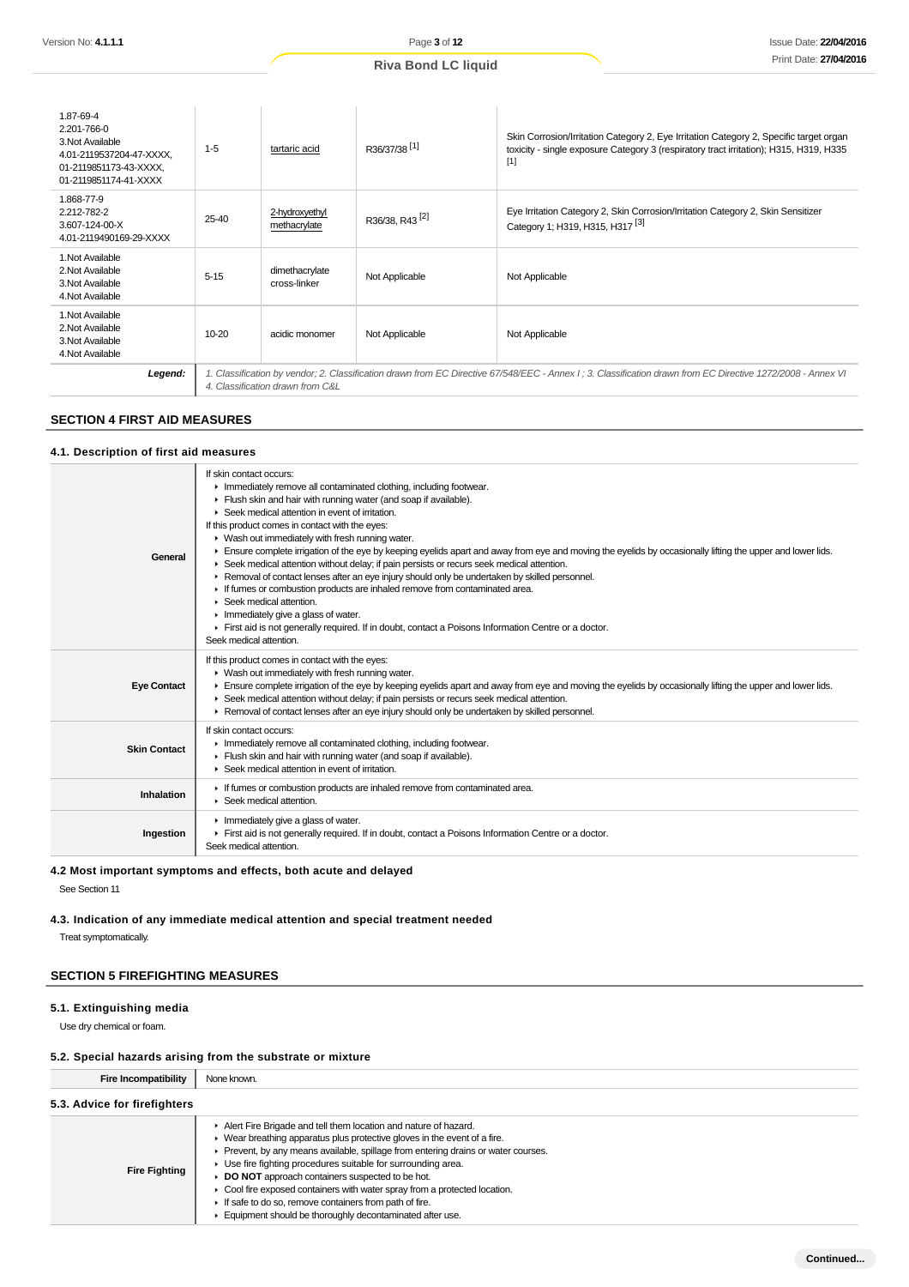|  |  | <b>Riva Bond LC liquid</b> |  |  |  |
|--|--|----------------------------|--|--|--|
|--|--|----------------------------|--|--|--|

| 1.87-69-4<br>2.201-766-0<br>3. Not Available<br>4.01-2119537204-47-XXXX,<br>01-2119851173-43-XXXX,<br>01-2119851174-41-XXXX | $1 - 5$                                                                                                                                                                                          | tartaric acid                  | R36/37/38 <sup>[1]</sup>   | Skin Corrosion/Irritation Category 2, Eye Irritation Category 2, Specific target organ<br>toxicity - single exposure Category 3 (respiratory tract irritation); H315, H319, H335<br>$[1]$ |  |
|-----------------------------------------------------------------------------------------------------------------------------|--------------------------------------------------------------------------------------------------------------------------------------------------------------------------------------------------|--------------------------------|----------------------------|-------------------------------------------------------------------------------------------------------------------------------------------------------------------------------------------|--|
| 1.868-77-9<br>2.212-782-2<br>3.607-124-00-X<br>4.01-2119490169-29-XXXX                                                      | 25-40                                                                                                                                                                                            | 2-hydroxyethyl<br>methacrylate | R36/38, R43 <sup>[2]</sup> | Eye Irritation Category 2, Skin Corrosion/Irritation Category 2, Skin Sensitizer<br>Category 1; H319, H315, H317 <sup>[3]</sup>                                                           |  |
| 1. Not Available<br>2. Not Available<br>3. Not Available<br>4. Not Available                                                | $5 - 15$                                                                                                                                                                                         | dimethacrylate<br>cross-linker | Not Applicable             | Not Applicable                                                                                                                                                                            |  |
| 1. Not Available<br>2. Not Available<br>3. Not Available<br>4. Not Available                                                | 10-20                                                                                                                                                                                            | acidic monomer                 | Not Applicable             | Not Applicable                                                                                                                                                                            |  |
| Legend:                                                                                                                     | 1. Classification by vendor; 2. Classification drawn from EC Directive 67/548/EEC - Annex I ; 3. Classification drawn from EC Directive 1272/2008 - Annex VI<br>4. Classification drawn from C&L |                                |                            |                                                                                                                                                                                           |  |

#### **SECTION 4 FIRST AID MEASURES**

### **4.1. Description of first aid measures**

| General             | If skin contact occurs:<br>In mediately remove all contaminated clothing, including footwear.<br>Flush skin and hair with running water (and soap if available).<br>▶ Seek medical attention in event of irritation.<br>If this product comes in contact with the eyes:<br>• Wash out immediately with fresh running water.<br>Ensure complete irrigation of the eye by keeping eyelids apart and away from eye and moving the eyelids by occasionally lifting the upper and lower lids.<br>► Seek medical attention without delay; if pain persists or recurs seek medical attention.<br>► Removal of contact lenses after an eye injury should only be undertaken by skilled personnel.<br>If fumes or combustion products are inhaled remove from contaminated area.<br>$\blacktriangleright$ Seek medical attention.<br>$\blacktriangleright$ Immediately give a glass of water.<br>First aid is not generally required. If in doubt, contact a Poisons Information Centre or a doctor.<br>Seek medical attention. |
|---------------------|------------------------------------------------------------------------------------------------------------------------------------------------------------------------------------------------------------------------------------------------------------------------------------------------------------------------------------------------------------------------------------------------------------------------------------------------------------------------------------------------------------------------------------------------------------------------------------------------------------------------------------------------------------------------------------------------------------------------------------------------------------------------------------------------------------------------------------------------------------------------------------------------------------------------------------------------------------------------------------------------------------------------|
| <b>Eye Contact</b>  | If this product comes in contact with the eyes:<br>• Wash out immediately with fresh running water.<br>Ensure complete irrigation of the eye by keeping eyelids apart and away from eye and moving the eyelids by occasionally lifting the upper and lower lids.<br>► Seek medical attention without delay; if pain persists or recurs seek medical attention.<br>► Removal of contact lenses after an eye injury should only be undertaken by skilled personnel.                                                                                                                                                                                                                                                                                                                                                                                                                                                                                                                                                      |
| <b>Skin Contact</b> | If skin contact occurs:<br>Inmediately remove all contaminated clothing, including footwear.<br>Flush skin and hair with running water (and soap if available).<br>▶ Seek medical attention in event of irritation.                                                                                                                                                                                                                                                                                                                                                                                                                                                                                                                                                                                                                                                                                                                                                                                                    |
| Inhalation          | If fumes or combustion products are inhaled remove from contaminated area.<br>▶ Seek medical attention.                                                                                                                                                                                                                                                                                                                                                                                                                                                                                                                                                                                                                                                                                                                                                                                                                                                                                                                |
| Ingestion           | $\blacktriangleright$ Immediately give a glass of water.<br>First aid is not generally required. If in doubt, contact a Poisons Information Centre or a doctor.<br>Seek medical attention.                                                                                                                                                                                                                                                                                                                                                                                                                                                                                                                                                                                                                                                                                                                                                                                                                             |

#### **4.2 Most important symptoms and effects, both acute and delayed**

See Section 11

**4.3. Indication of any immediate medical attention and special treatment needed**

Treat symptomatically.

## **SECTION 5 FIREFIGHTING MEASURES**

#### **5.1. Extinguishing media**

Use dry chemical or foam.

## **5.2. Special hazards arising from the substrate or mixture**

| <b>Fire Incompatibility</b>  | None known.                                                                                                                                                                                                                                                                                                                                                                                                                                                                                                                                                                 |
|------------------------------|-----------------------------------------------------------------------------------------------------------------------------------------------------------------------------------------------------------------------------------------------------------------------------------------------------------------------------------------------------------------------------------------------------------------------------------------------------------------------------------------------------------------------------------------------------------------------------|
| 5.3. Advice for firefighters |                                                                                                                                                                                                                                                                                                                                                                                                                                                                                                                                                                             |
| <b>Fire Fighting</b>         | Alert Fire Brigade and tell them location and nature of hazard.<br>$\triangleright$ Wear breathing apparatus plus protective gloves in the event of a fire.<br>▶ Prevent, by any means available, spillage from entering drains or water courses.<br>• Use fire fighting procedures suitable for surrounding area.<br>► DO NOT approach containers suspected to be hot.<br>• Cool fire exposed containers with water spray from a protected location.<br>If safe to do so, remove containers from path of fire.<br>Equipment should be thoroughly decontaminated after use. |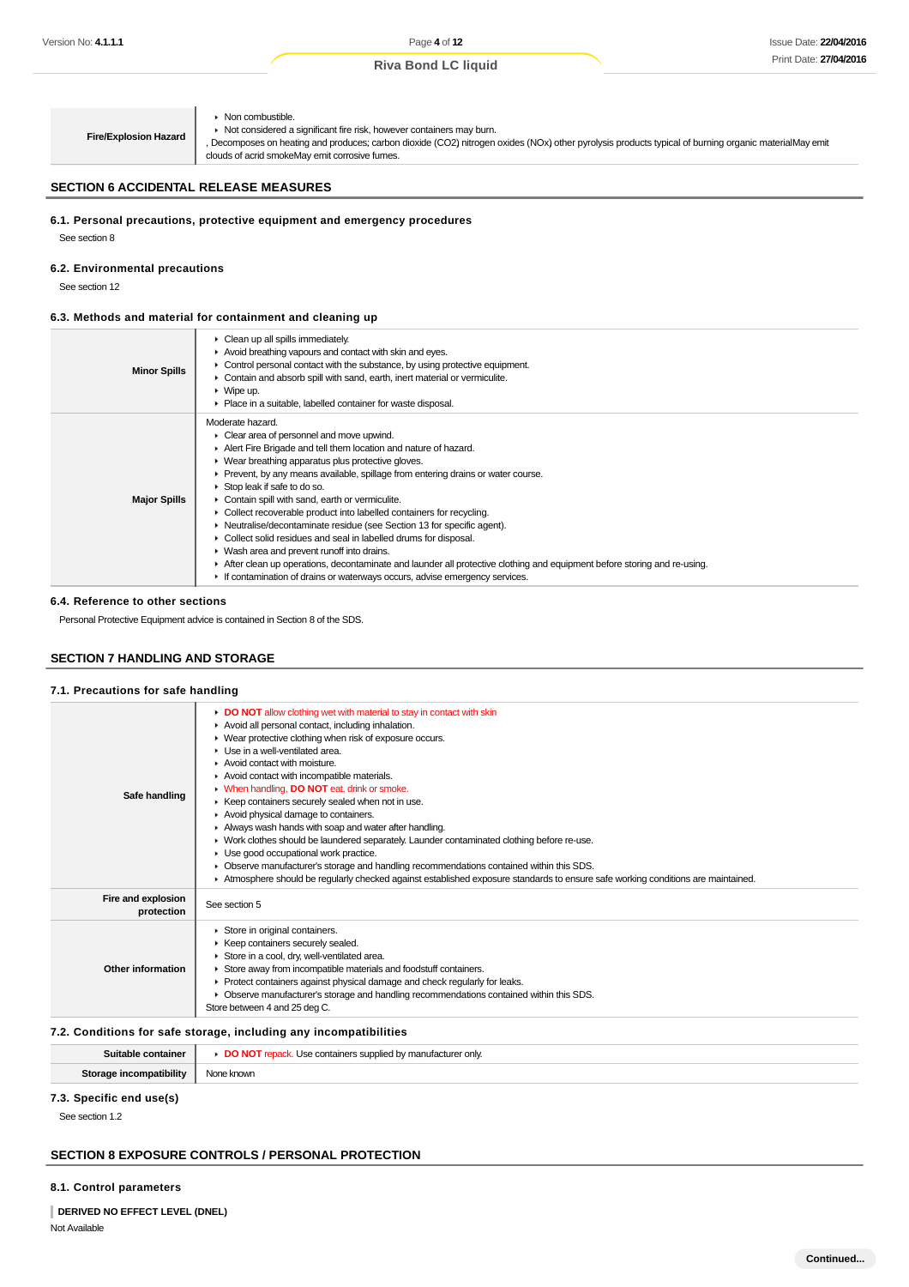**Fire/Explosion Hazard Non combustible.**  $\blacktriangleright$  Not considered a significant fire risk, however containers may burn. , Decomposes on heating and produces:, carbon dioxide (CO2), nitrogen oxides (NOx), other pyrolysis products typical of burning organic materialMay emit clouds of acrid smokeMay emit corrosive fumes.

#### **SECTION 6 ACCIDENTAL RELEASE MEASURES**

#### **6.1. Personal precautions, protective equipment and emergency procedures**

See section 8

#### **6.2. Environmental precautions**

See section 12

#### **6.3. Methods and material for containment and cleaning up**

| <b>Minor Spills</b> | $\triangleright$ Clean up all spills immediately.<br>Avoid breathing vapours and contact with skin and eyes.<br>$\triangleright$ Control personal contact with the substance, by using protective equipment.<br>• Contain and absorb spill with sand, earth, inert material or vermiculite.<br>$\triangleright$ Wipe up.<br>• Place in a suitable, labelled container for waste disposal.                                                                                                                                                                                                                                                                                                                                                                                                                                                      |
|---------------------|------------------------------------------------------------------------------------------------------------------------------------------------------------------------------------------------------------------------------------------------------------------------------------------------------------------------------------------------------------------------------------------------------------------------------------------------------------------------------------------------------------------------------------------------------------------------------------------------------------------------------------------------------------------------------------------------------------------------------------------------------------------------------------------------------------------------------------------------|
| <b>Major Spills</b> | Moderate hazard.<br>• Clear area of personnel and move upwind.<br>Alert Fire Brigade and tell them location and nature of hazard.<br>▶ Wear breathing apparatus plus protective gloves.<br>► Prevent, by any means available, spillage from entering drains or water course.<br>Stop leak if safe to do so.<br>Contain spill with sand, earth or vermiculite.<br>• Collect recoverable product into labelled containers for recycling.<br>• Neutralise/decontaminate residue (see Section 13 for specific agent).<br>• Collect solid residues and seal in labelled drums for disposal.<br>▶ Wash area and prevent runoff into drains.<br>After clean up operations, decontaminate and launder all protective clothing and equipment before storing and re-using.<br>If contamination of drains or waterways occurs, advise emergency services. |

#### **6.4. Reference to other sections**

Personal Protective Equipment advice is contained in Section 8 of the SDS.

## **SECTION 7 HANDLING AND STORAGE**

#### **7.1. Precautions for safe handling**

| Safe handling                    | DO NOT allow clothing wet with material to stay in contact with skin<br>Avoid all personal contact, including inhalation.<br>▶ Wear protective clothing when risk of exposure occurs.<br>$\blacktriangleright$ Use in a well-ventilated area.<br>$\blacktriangleright$ Avoid contact with moisture.<br>Avoid contact with incompatible materials.<br>• When handling, DO NOT eat, drink or smoke.<br>▶ Keep containers securely sealed when not in use.<br>Avoid physical damage to containers.<br>Always wash hands with soap and water after handling.<br>► Work clothes should be laundered separately. Launder contaminated clothing before re-use.<br>Use good occupational work practice.<br>• Observe manufacturer's storage and handling recommendations contained within this SDS.<br>Atmosphere should be regularly checked against established exposure standards to ensure safe working conditions are maintained. |
|----------------------------------|--------------------------------------------------------------------------------------------------------------------------------------------------------------------------------------------------------------------------------------------------------------------------------------------------------------------------------------------------------------------------------------------------------------------------------------------------------------------------------------------------------------------------------------------------------------------------------------------------------------------------------------------------------------------------------------------------------------------------------------------------------------------------------------------------------------------------------------------------------------------------------------------------------------------------------|
| Fire and explosion<br>protection | See section 5                                                                                                                                                                                                                                                                                                                                                                                                                                                                                                                                                                                                                                                                                                                                                                                                                                                                                                                  |
| Other information                | Store in original containers.<br>Þ.<br>▶ Keep containers securely sealed.<br>Store in a cool, dry, well-ventilated area.<br>Store away from incompatible materials and foodstuff containers.<br>▶ Protect containers against physical damage and check regularly for leaks.<br>• Observe manufacturer's storage and handling recommendations contained within this SDS.<br>Store between 4 and 25 deg C.                                                                                                                                                                                                                                                                                                                                                                                                                                                                                                                       |

#### **7.2. Conditions for safe storage, including any incompatibilities**

| SΠ<br>нансі                 | ء ا<br>only.<br>mtoinom |
|-----------------------------|-------------------------|
| $-$<br>Stor<br>hilitv<br>ыш | <b>nowr</b>             |

#### **7.3. Specific end use(s)**

See section 1.2

## **SECTION 8 EXPOSURE CONTROLS / PERSONAL PROTECTION**

#### **8.1. Control parameters**

**DERIVED NO EFFECT LEVEL (DNEL)** Not Available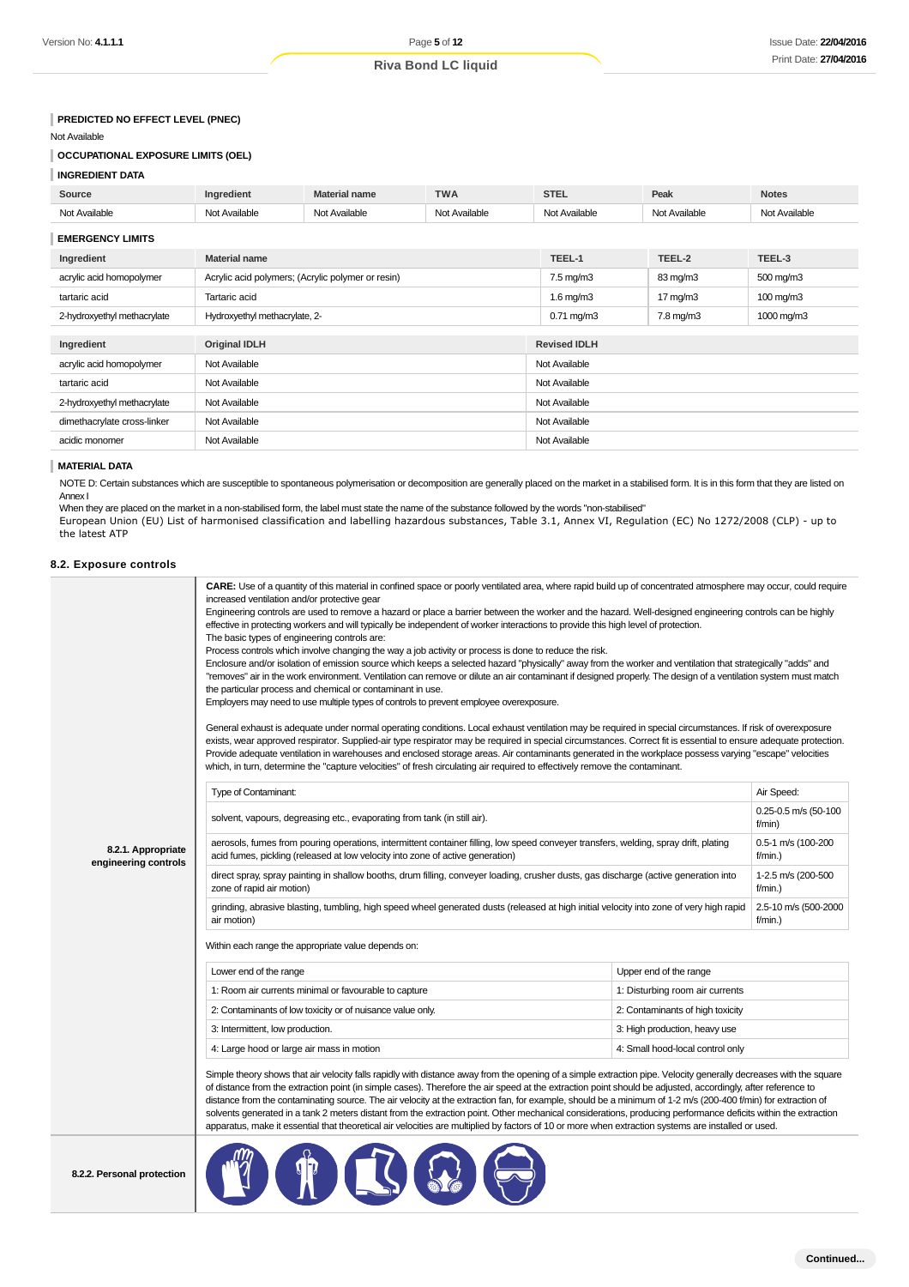### **INGREDIENT DATA**

| Source                                                    | Ingredient                                        | <b>Material name</b> | <b>TWA</b>    | <b>STEL</b>          |  | Peak                 | <b>Notes</b>         |
|-----------------------------------------------------------|---------------------------------------------------|----------------------|---------------|----------------------|--|----------------------|----------------------|
| Not Available                                             | Not Available                                     | Not Available        | Not Available | Not Available        |  | Not Available        | Not Available        |
| <b>EMERGENCY LIMITS</b>                                   |                                                   |                      |               |                      |  |                      |                      |
| Ingredient                                                | <b>Material name</b>                              |                      |               | TEEL-1               |  | TEEL-2               | TEEL-3               |
| acrylic acid homopolymer                                  | Acrylic acid polymers; (Acrylic polymer or resin) |                      |               | $7.5 \text{ mg/m}$ 3 |  | 83 mg/m3             | $500 \text{ mg/m}$ 3 |
| tartaric acid                                             | Tartaric acid                                     |                      |               | $1.6$ mg/m $3$       |  | 17 mg/m3             | $100 \text{ mg/m}$   |
| 2-hydroxyethyl methacrylate                               | Hydroxyethyl methacrylate, 2-                     |                      |               | $0.71$ mg/m $3$      |  | $7.8 \text{ mg/m}$ 3 | 1000 mg/m3           |
| Ingredient<br><b>Original IDLH</b><br><b>Revised IDLH</b> |                                                   |                      |               |                      |  |                      |                      |
| acrylic acid homopolymer                                  | Not Available                                     |                      |               | Not Available        |  |                      |                      |
| tartaric acid                                             | Not Available                                     |                      |               | Not Available        |  |                      |                      |
| 2-hydroxyethyl methacrylate                               | Not Available                                     |                      |               | Not Available        |  |                      |                      |
| dimethacrylate cross-linker                               | Not Available                                     |                      |               | Not Available        |  |                      |                      |
| acidic monomer                                            | Not Available                                     |                      | Not Available |                      |  |                      |                      |

#### **MATERIAL DATA**

#### **8.2. Exposure controls**

| Version No: <b>4.1.1.1</b>                                                                                                                                                                          |                                  |                                                                                                                                                                                                                                                                                                                                                                                                                                                     | Page 5 of 12               |                               |                                                                                                                                                                                                                                                                                                                                                                                                                                                                                                                                                                                                                                                                                                                                                                                                                             | Issue Date: 22/04/20               |  |
|-----------------------------------------------------------------------------------------------------------------------------------------------------------------------------------------------------|----------------------------------|-----------------------------------------------------------------------------------------------------------------------------------------------------------------------------------------------------------------------------------------------------------------------------------------------------------------------------------------------------------------------------------------------------------------------------------------------------|----------------------------|-------------------------------|-----------------------------------------------------------------------------------------------------------------------------------------------------------------------------------------------------------------------------------------------------------------------------------------------------------------------------------------------------------------------------------------------------------------------------------------------------------------------------------------------------------------------------------------------------------------------------------------------------------------------------------------------------------------------------------------------------------------------------------------------------------------------------------------------------------------------------|------------------------------------|--|
|                                                                                                                                                                                                     |                                  |                                                                                                                                                                                                                                                                                                                                                                                                                                                     | <b>Riva Bond LC liquid</b> |                               |                                                                                                                                                                                                                                                                                                                                                                                                                                                                                                                                                                                                                                                                                                                                                                                                                             | Print Date: 27/04/20               |  |
|                                                                                                                                                                                                     |                                  |                                                                                                                                                                                                                                                                                                                                                                                                                                                     |                            |                               |                                                                                                                                                                                                                                                                                                                                                                                                                                                                                                                                                                                                                                                                                                                                                                                                                             |                                    |  |
|                                                                                                                                                                                                     |                                  |                                                                                                                                                                                                                                                                                                                                                                                                                                                     |                            |                               |                                                                                                                                                                                                                                                                                                                                                                                                                                                                                                                                                                                                                                                                                                                                                                                                                             |                                    |  |
| PREDICTED NO EFFECT LEVEL (PNEC)                                                                                                                                                                    |                                  |                                                                                                                                                                                                                                                                                                                                                                                                                                                     |                            |                               |                                                                                                                                                                                                                                                                                                                                                                                                                                                                                                                                                                                                                                                                                                                                                                                                                             |                                    |  |
| Not Available                                                                                                                                                                                       |                                  |                                                                                                                                                                                                                                                                                                                                                                                                                                                     |                            |                               |                                                                                                                                                                                                                                                                                                                                                                                                                                                                                                                                                                                                                                                                                                                                                                                                                             |                                    |  |
| <b>OCCUPATIONAL EXPOSURE LIMITS (OEL)</b>                                                                                                                                                           |                                  |                                                                                                                                                                                                                                                                                                                                                                                                                                                     |                            |                               |                                                                                                                                                                                                                                                                                                                                                                                                                                                                                                                                                                                                                                                                                                                                                                                                                             |                                    |  |
| <b>INGREDIENT DATA</b>                                                                                                                                                                              |                                  |                                                                                                                                                                                                                                                                                                                                                                                                                                                     |                            |                               |                                                                                                                                                                                                                                                                                                                                                                                                                                                                                                                                                                                                                                                                                                                                                                                                                             |                                    |  |
| Source                                                                                                                                                                                              | Ingredient                       | <b>Material name</b>                                                                                                                                                                                                                                                                                                                                                                                                                                | <b>TWA</b>                 | <b>STEL</b>                   | Peak                                                                                                                                                                                                                                                                                                                                                                                                                                                                                                                                                                                                                                                                                                                                                                                                                        | <b>Notes</b>                       |  |
| Not Available                                                                                                                                                                                       | Not Available                    | Not Available                                                                                                                                                                                                                                                                                                                                                                                                                                       | Not Available              | Not Available                 | Not Available                                                                                                                                                                                                                                                                                                                                                                                                                                                                                                                                                                                                                                                                                                                                                                                                               | Not Available                      |  |
| <b>EMERGENCY LIMITS</b>                                                                                                                                                                             |                                  |                                                                                                                                                                                                                                                                                                                                                                                                                                                     |                            |                               |                                                                                                                                                                                                                                                                                                                                                                                                                                                                                                                                                                                                                                                                                                                                                                                                                             |                                    |  |
| Ingredient                                                                                                                                                                                          | <b>Material name</b>             |                                                                                                                                                                                                                                                                                                                                                                                                                                                     |                            | TEEL-1                        | TEEL-2                                                                                                                                                                                                                                                                                                                                                                                                                                                                                                                                                                                                                                                                                                                                                                                                                      | TEEL-3                             |  |
| acrylic acid homopolymer                                                                                                                                                                            |                                  | Acrylic acid polymers; (Acrylic polymer or resin)                                                                                                                                                                                                                                                                                                                                                                                                   |                            | $7.5 \text{ mg/m}$ 3          | 83 mg/m3                                                                                                                                                                                                                                                                                                                                                                                                                                                                                                                                                                                                                                                                                                                                                                                                                    | $500 \text{ mg/m}$ 3               |  |
| tartaric acid                                                                                                                                                                                       | Tartaric acid                    |                                                                                                                                                                                                                                                                                                                                                                                                                                                     |                            | 1.6 mg/m $3$                  | 17 $mg/m3$                                                                                                                                                                                                                                                                                                                                                                                                                                                                                                                                                                                                                                                                                                                                                                                                                  | 100 mg/m3                          |  |
| 2-hydroxyethyl methacrylate                                                                                                                                                                         | Hydroxyethyl methacrylate, 2-    |                                                                                                                                                                                                                                                                                                                                                                                                                                                     |                            | $0.71$ mg/m $3$               | 7.8 mg/m3                                                                                                                                                                                                                                                                                                                                                                                                                                                                                                                                                                                                                                                                                                                                                                                                                   | 1000 mg/m3                         |  |
|                                                                                                                                                                                                     |                                  |                                                                                                                                                                                                                                                                                                                                                                                                                                                     |                            |                               |                                                                                                                                                                                                                                                                                                                                                                                                                                                                                                                                                                                                                                                                                                                                                                                                                             |                                    |  |
| Ingredient                                                                                                                                                                                          | Original IDLH                    |                                                                                                                                                                                                                                                                                                                                                                                                                                                     |                            | <b>Revised IDLH</b>           |                                                                                                                                                                                                                                                                                                                                                                                                                                                                                                                                                                                                                                                                                                                                                                                                                             |                                    |  |
| acrylic acid homopolymer                                                                                                                                                                            | Not Available                    |                                                                                                                                                                                                                                                                                                                                                                                                                                                     |                            | Not Available                 |                                                                                                                                                                                                                                                                                                                                                                                                                                                                                                                                                                                                                                                                                                                                                                                                                             |                                    |  |
| tartaric acid                                                                                                                                                                                       | Not Available                    |                                                                                                                                                                                                                                                                                                                                                                                                                                                     |                            | Not Available                 |                                                                                                                                                                                                                                                                                                                                                                                                                                                                                                                                                                                                                                                                                                                                                                                                                             |                                    |  |
| 2-hydroxyethyl methacrylate                                                                                                                                                                         | Not Available                    |                                                                                                                                                                                                                                                                                                                                                                                                                                                     |                            | Not Available                 |                                                                                                                                                                                                                                                                                                                                                                                                                                                                                                                                                                                                                                                                                                                                                                                                                             |                                    |  |
| dimethacrylate cross-linker                                                                                                                                                                         | Not Available                    |                                                                                                                                                                                                                                                                                                                                                                                                                                                     |                            | Not Available                 |                                                                                                                                                                                                                                                                                                                                                                                                                                                                                                                                                                                                                                                                                                                                                                                                                             |                                    |  |
| acidic monomer                                                                                                                                                                                      | Not Available                    |                                                                                                                                                                                                                                                                                                                                                                                                                                                     |                            | Not Available                 |                                                                                                                                                                                                                                                                                                                                                                                                                                                                                                                                                                                                                                                                                                                                                                                                                             |                                    |  |
| <b>MATERIAL DATA</b>                                                                                                                                                                                |                                  |                                                                                                                                                                                                                                                                                                                                                                                                                                                     |                            |                               |                                                                                                                                                                                                                                                                                                                                                                                                                                                                                                                                                                                                                                                                                                                                                                                                                             |                                    |  |
| NOTE D: Certain substances which are susceptible to spontaneous polymerisation or decomposition are generally placed on the market in a stabilised form. It is in this form that they are listed on |                                  |                                                                                                                                                                                                                                                                                                                                                                                                                                                     |                            |                               |                                                                                                                                                                                                                                                                                                                                                                                                                                                                                                                                                                                                                                                                                                                                                                                                                             |                                    |  |
| Annex I                                                                                                                                                                                             |                                  |                                                                                                                                                                                                                                                                                                                                                                                                                                                     |                            |                               |                                                                                                                                                                                                                                                                                                                                                                                                                                                                                                                                                                                                                                                                                                                                                                                                                             |                                    |  |
| When they are placed on the market in a non-stabilised form, the label must state the name of the substance followed by the words "non-stabilised"                                                  |                                  |                                                                                                                                                                                                                                                                                                                                                                                                                                                     |                            |                               |                                                                                                                                                                                                                                                                                                                                                                                                                                                                                                                                                                                                                                                                                                                                                                                                                             |                                    |  |
| European Union (EU) List of harmonised classification and labelling hazardous substances, Table 3.1, Annex VI, Regulation (EC) No 1272/2008 (CLP) - up to<br>the latest ATP                         |                                  |                                                                                                                                                                                                                                                                                                                                                                                                                                                     |                            |                               |                                                                                                                                                                                                                                                                                                                                                                                                                                                                                                                                                                                                                                                                                                                                                                                                                             |                                    |  |
|                                                                                                                                                                                                     |                                  |                                                                                                                                                                                                                                                                                                                                                                                                                                                     |                            |                               |                                                                                                                                                                                                                                                                                                                                                                                                                                                                                                                                                                                                                                                                                                                                                                                                                             |                                    |  |
| 8.2. Exposure controls                                                                                                                                                                              |                                  |                                                                                                                                                                                                                                                                                                                                                                                                                                                     |                            |                               |                                                                                                                                                                                                                                                                                                                                                                                                                                                                                                                                                                                                                                                                                                                                                                                                                             |                                    |  |
|                                                                                                                                                                                                     |                                  | effective in protecting workers and will typically be independent of worker interactions to provide this high level of protection.<br>The basic types of engineering controls are:<br>Process controls which involve changing the way a job activity or process is done to reduce the risk.<br>the particular process and chemical or contaminant in use.<br>Employers may need to use multiple types of controls to prevent employee overexposure. |                            |                               | Engineering controls are used to remove a hazard or place a barrier between the worker and the hazard. Well-designed engineering controls can be highly<br>Enclosure and/or isolation of emission source which keeps a selected hazard "physically" away from the worker and ventilation that strategically "adds" and<br>"removes" air in the work environment. Ventilation can remove or dilute an air contaminant if designed properly. The design of a ventilation system must match<br>General exhaust is adequate under normal operating conditions. Local exhaust ventilation may be required in special circumstances. If risk of overexposure<br>exists, wear approved respirator. Supplied-air type respirator may be required in special circumstances. Correct fit is essential to ensure adequate protection.  |                                    |  |
|                                                                                                                                                                                                     | Type of Contaminant:             | which, in turn, determine the "capture velocities" of fresh circulating air required to effectively remove the contaminant.                                                                                                                                                                                                                                                                                                                         |                            |                               | Provide adequate ventilation in warehouses and enclosed storage areas. Air contaminants generated in the workplace possess varying "escape" velocities                                                                                                                                                                                                                                                                                                                                                                                                                                                                                                                                                                                                                                                                      | Air Speed:                         |  |
|                                                                                                                                                                                                     |                                  |                                                                                                                                                                                                                                                                                                                                                                                                                                                     |                            |                               |                                                                                                                                                                                                                                                                                                                                                                                                                                                                                                                                                                                                                                                                                                                                                                                                                             | 0.25-0.5 m/s (50-100               |  |
|                                                                                                                                                                                                     |                                  | solvent, vapours, degreasing etc., evaporating from tank (in still air).                                                                                                                                                                                                                                                                                                                                                                            |                            |                               |                                                                                                                                                                                                                                                                                                                                                                                                                                                                                                                                                                                                                                                                                                                                                                                                                             | f/min)                             |  |
| 8.2.1. Appropriate<br>engineering controls                                                                                                                                                          |                                  | aerosols, fumes from pouring operations, intermittent container filling, low speed conveyer transfers, welding, spray drift, plating<br>acid fumes, pickling (released at low velocity into zone of active generation)                                                                                                                                                                                                                              |                            |                               |                                                                                                                                                                                                                                                                                                                                                                                                                                                                                                                                                                                                                                                                                                                                                                                                                             |                                    |  |
|                                                                                                                                                                                                     | zone of rapid air motion)        | direct spray, spray painting in shallow booths, drum filling, conveyer loading, crusher dusts, gas discharge (active generation into                                                                                                                                                                                                                                                                                                                |                            |                               |                                                                                                                                                                                                                                                                                                                                                                                                                                                                                                                                                                                                                                                                                                                                                                                                                             | 1-2.5 m/s (200-500<br>$f/min.$ )   |  |
|                                                                                                                                                                                                     | air motion)                      |                                                                                                                                                                                                                                                                                                                                                                                                                                                     |                            |                               | grinding, abrasive blasting, tumbling, high speed wheel generated dusts (released at high initial velocity into zone of very high rapid                                                                                                                                                                                                                                                                                                                                                                                                                                                                                                                                                                                                                                                                                     | 2.5-10 m/s (500-2000<br>$f/min.$ ) |  |
|                                                                                                                                                                                                     |                                  | Within each range the appropriate value depends on:                                                                                                                                                                                                                                                                                                                                                                                                 |                            |                               |                                                                                                                                                                                                                                                                                                                                                                                                                                                                                                                                                                                                                                                                                                                                                                                                                             |                                    |  |
|                                                                                                                                                                                                     | Lower end of the range           |                                                                                                                                                                                                                                                                                                                                                                                                                                                     |                            |                               | Upper end of the range                                                                                                                                                                                                                                                                                                                                                                                                                                                                                                                                                                                                                                                                                                                                                                                                      |                                    |  |
|                                                                                                                                                                                                     |                                  | 1: Room air currents minimal or favourable to capture                                                                                                                                                                                                                                                                                                                                                                                               |                            |                               | 1: Disturbing room air currents                                                                                                                                                                                                                                                                                                                                                                                                                                                                                                                                                                                                                                                                                                                                                                                             |                                    |  |
|                                                                                                                                                                                                     |                                  | 2: Contaminants of low toxicity or of nuisance value only.                                                                                                                                                                                                                                                                                                                                                                                          |                            |                               | 2: Contaminants of high toxicity                                                                                                                                                                                                                                                                                                                                                                                                                                                                                                                                                                                                                                                                                                                                                                                            |                                    |  |
|                                                                                                                                                                                                     | 3: Intermittent, low production. |                                                                                                                                                                                                                                                                                                                                                                                                                                                     |                            | 3: High production, heavy use |                                                                                                                                                                                                                                                                                                                                                                                                                                                                                                                                                                                                                                                                                                                                                                                                                             |                                    |  |
|                                                                                                                                                                                                     |                                  | 4: Large hood or large air mass in motion                                                                                                                                                                                                                                                                                                                                                                                                           |                            |                               | 4: Small hood-local control only                                                                                                                                                                                                                                                                                                                                                                                                                                                                                                                                                                                                                                                                                                                                                                                            |                                    |  |
|                                                                                                                                                                                                     |                                  |                                                                                                                                                                                                                                                                                                                                                                                                                                                     |                            |                               | Simple theory shows that air velocity falls rapidly with distance away from the opening of a simple extraction pipe. Velocity generally decreases with the square<br>of distance from the extraction point (in simple cases). Therefore the air speed at the extraction point should be adjusted, accordingly, after reference to<br>distance from the contaminating source. The air velocity at the extraction fan, for example, should be a minimum of 1-2 m/s (200-400 f/min) for extraction of<br>solvents generated in a tank 2 meters distant from the extraction point. Other mechanical considerations, producing performance deficits within the extraction<br>apparatus, make it essential that theoretical air velocities are multiplied by factors of 10 or more when extraction systems are installed or used. |                                    |  |
| 8.2.2. Personal protection                                                                                                                                                                          |                                  | <b>TO QE</b>                                                                                                                                                                                                                                                                                                                                                                                                                                        |                            |                               |                                                                                                                                                                                                                                                                                                                                                                                                                                                                                                                                                                                                                                                                                                                                                                                                                             |                                    |  |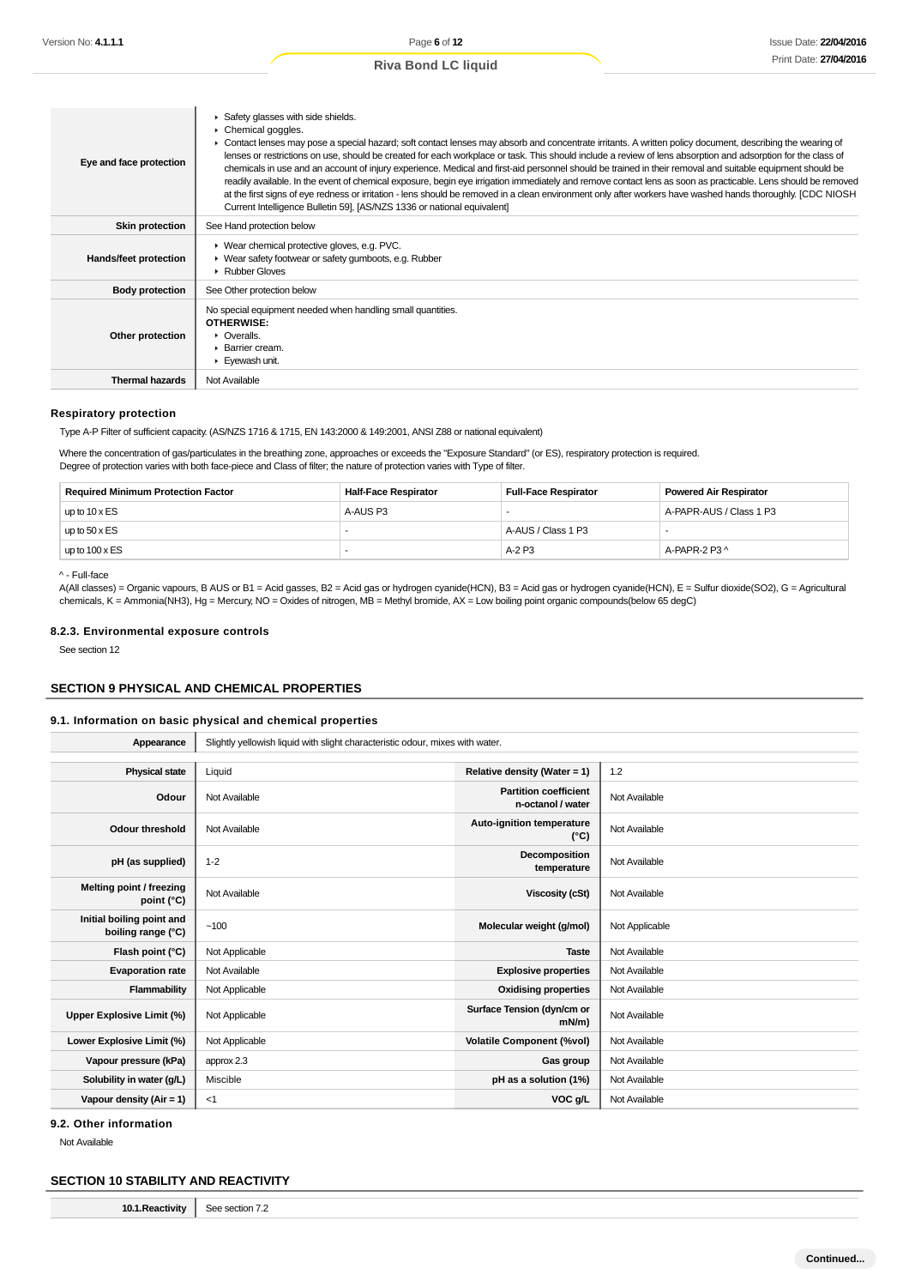| Eye and face protection | Safety glasses with side shields.<br>Chemical goggles.<br>Contact lenses may pose a special hazard; soft contact lenses may absorb and concentrate irritants. A written policy document, describing the wearing of<br>lenses or restrictions on use, should be created for each workplace or task. This should include a review of lens absorption and adsorption for the class of<br>chemicals in use and an account of injury experience. Medical and first-aid personnel should be trained in their removal and suitable equipment should be<br>readily available. In the event of chemical exposure, begin eye irrigation immediately and remove contact lens as soon as practicable. Lens should be removed<br>at the first signs of eye redness or irritation - lens should be removed in a clean environment only after workers have washed hands thoroughly. [CDC NIOSH<br>Current Intelligence Bulletin 59, [AS/NZS 1336 or national equivalent] |
|-------------------------|-----------------------------------------------------------------------------------------------------------------------------------------------------------------------------------------------------------------------------------------------------------------------------------------------------------------------------------------------------------------------------------------------------------------------------------------------------------------------------------------------------------------------------------------------------------------------------------------------------------------------------------------------------------------------------------------------------------------------------------------------------------------------------------------------------------------------------------------------------------------------------------------------------------------------------------------------------------|
| <b>Skin protection</b>  | See Hand protection below                                                                                                                                                                                                                                                                                                                                                                                                                                                                                                                                                                                                                                                                                                                                                                                                                                                                                                                                 |
| Hands/feet protection   | ▶ Wear chemical protective gloves, e.g. PVC.<br>▶ Wear safety footwear or safety gumboots, e.g. Rubber<br>▶ Rubber Gloves                                                                                                                                                                                                                                                                                                                                                                                                                                                                                                                                                                                                                                                                                                                                                                                                                                 |
| <b>Body protection</b>  | See Other protection below                                                                                                                                                                                                                                                                                                                                                                                                                                                                                                                                                                                                                                                                                                                                                                                                                                                                                                                                |
| Other protection        | No special equipment needed when handling small quantities.<br>OTHERWISE:<br>• Overalls.<br>$\blacktriangleright$ Barrier cream.<br>Eyewash unit.                                                                                                                                                                                                                                                                                                                                                                                                                                                                                                                                                                                                                                                                                                                                                                                                         |
| <b>Thermal hazards</b>  | Not Available                                                                                                                                                                                                                                                                                                                                                                                                                                                                                                                                                                                                                                                                                                                                                                                                                                                                                                                                             |

#### **Respiratory protection**

Type A-P Filter of sufficient capacity. (AS/NZS 1716 & 1715, EN 143:2000 & 149:2001, ANSI Z88 or national equivalent)

Where the concentration of gas/particulates in the breathing zone, approaches or exceeds the "Exposure Standard" (or ES), respiratory protection is required. Degree of protection varies with both face-piece and Class of filter; the nature of protection varies with Type of filter.

| <b>Required Minimum Protection Factor</b> | <b>Half-Face Respirator</b><br><b>Full-Face Respirator</b> |                    | <b>Powered Air Respirator</b> |  |
|-------------------------------------------|------------------------------------------------------------|--------------------|-------------------------------|--|
| up to $10 \times ES$                      | A-AUS P3                                                   |                    | A-PAPR-AUS / Class 1 P3       |  |
| up to $50 \times ES$                      |                                                            | A-AUS / Class 1 P3 |                               |  |
| up to $100 \times ES$                     |                                                            | $A-2P3$            | A-PAPR-2 $P3^{\wedge}$        |  |

^ - Full-face

A(All classes) = Organic vapours, B AUS or B1 = Acid gasses, B2 = Acid gas or hydrogen cyanide(HCN), B3 = Acid gas or hydrogen cyanide(HCN), E = Sulfur dioxide(SO2), G = Agricultural chemicals, K = Ammonia(NH3), Hg = Mercury, NO = Oxides of nitrogen, MB = Methyl bromide, AX = Low boiling point organic compounds(below 65 degC)

#### **8.2.3. Environmental exposure controls**

See section 12

#### **SECTION 9 PHYSICAL AND CHEMICAL PROPERTIES**

#### **9.1. Information on basic physical and chemical properties**

| Appearance                                      | Slightly yellowish liquid with slight characteristic odour, mixes with water. |                                                   |                |
|-------------------------------------------------|-------------------------------------------------------------------------------|---------------------------------------------------|----------------|
|                                                 |                                                                               |                                                   |                |
| <b>Physical state</b>                           | Liquid                                                                        | Relative density (Water = 1)                      | 1.2            |
| Odour                                           | Not Available                                                                 | <b>Partition coefficient</b><br>n-octanol / water | Not Available  |
| <b>Odour threshold</b>                          | Not Available                                                                 | Auto-ignition temperature<br>$(^{\circ}C)$        | Not Available  |
| pH (as supplied)                                | $1 - 2$                                                                       | Decomposition<br>temperature                      | Not Available  |
| Melting point / freezing<br>point $(^{\circ}C)$ | Not Available                                                                 | Viscosity (cSt)                                   | Not Available  |
| Initial boiling point and<br>boiling range (°C) | ~100                                                                          | Molecular weight (g/mol)                          | Not Applicable |
| Flash point (°C)                                | Not Applicable                                                                | <b>Taste</b>                                      | Not Available  |
| <b>Evaporation rate</b>                         | Not Available                                                                 | <b>Explosive properties</b>                       | Not Available  |
| Flammability                                    | Not Applicable                                                                | <b>Oxidising properties</b>                       | Not Available  |
| Upper Explosive Limit (%)                       | Not Applicable                                                                | Surface Tension (dyn/cm or<br>$mN/m$ )            | Not Available  |
| Lower Explosive Limit (%)                       | Not Applicable                                                                | <b>Volatile Component (%vol)</b>                  | Not Available  |
| Vapour pressure (kPa)                           | approx 2.3                                                                    | Gas group                                         | Not Available  |
| Solubility in water (g/L)                       | Miscible                                                                      | pH as a solution (1%)                             | Not Available  |
| Vapour density ( $Air = 1$ )                    | $<$ 1                                                                         | VOC g/L                                           | Not Available  |

**9.2. Other information**

Not Available

#### **SECTION 10 STABILITY AND REACTIVITY**

**10.1. Reactivity** See section 7.2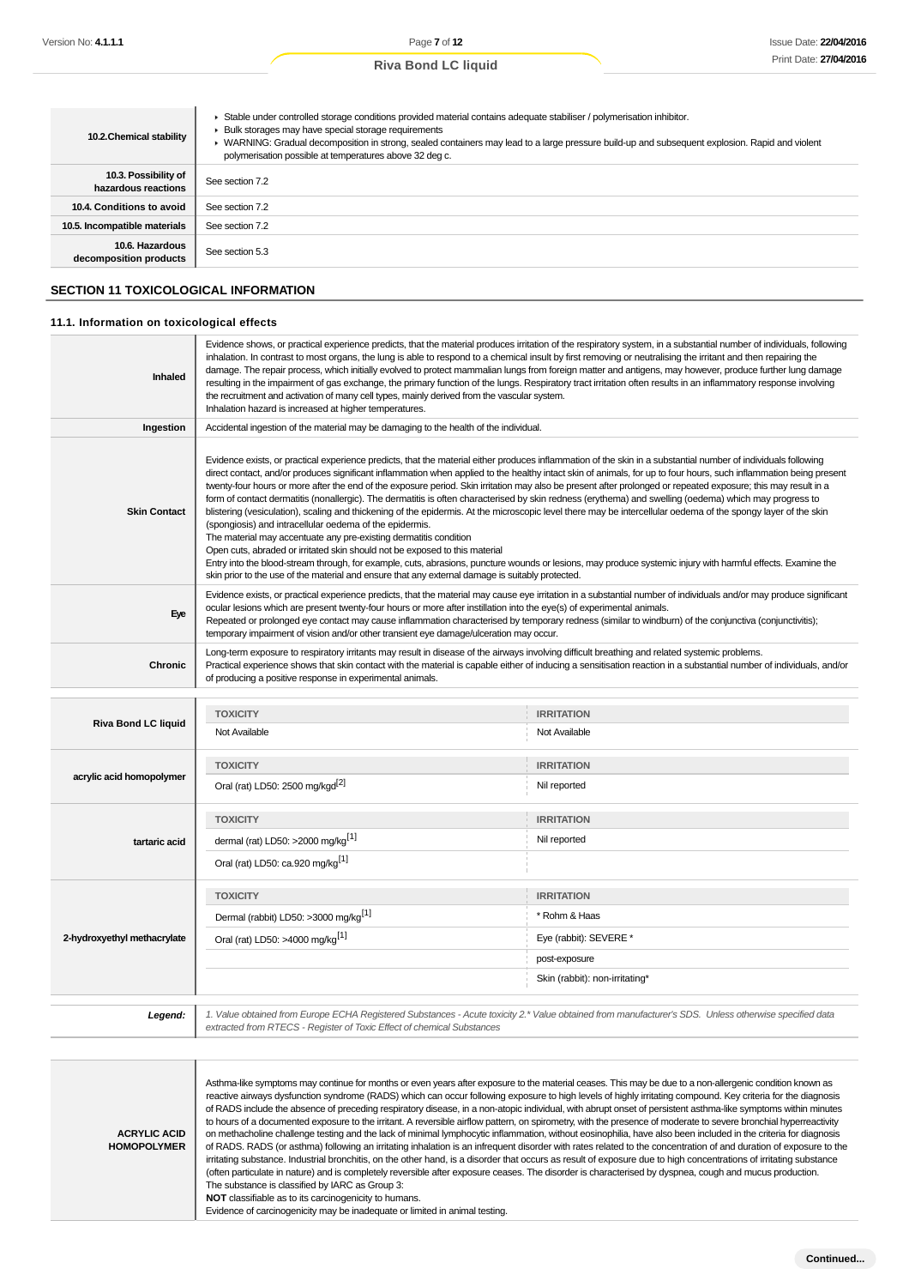| 10.2. Chemical stability                    | Stable under controlled storage conditions provided material contains adequate stabiliser / polymerisation inhibitor.<br>Bulk storages may have special storage requirements<br>▶ WARNING: Gradual decomposition in strong, sealed containers may lead to a large pressure build-up and subsequent explosion. Rapid and violent<br>polymerisation possible at temperatures above 32 deg c. |
|---------------------------------------------|--------------------------------------------------------------------------------------------------------------------------------------------------------------------------------------------------------------------------------------------------------------------------------------------------------------------------------------------------------------------------------------------|
| 10.3. Possibility of<br>hazardous reactions | See section 7.2                                                                                                                                                                                                                                                                                                                                                                            |
| 10.4. Conditions to avoid                   | See section 7.2                                                                                                                                                                                                                                                                                                                                                                            |
| 10.5. Incompatible materials                | See section 7.2                                                                                                                                                                                                                                                                                                                                                                            |
| 10.6. Hazardous<br>decomposition products   | See section 5.3                                                                                                                                                                                                                                                                                                                                                                            |

## **SECTION 11 TOXICOLOGICAL INFORMATION**

#### **11.1. Information on toxicological effects**

| Inhaled                     | Evidence shows, or practical experience predicts, that the material produces irritation of the respiratory system, in a substantial number of individuals, following<br>inhalation. In contrast to most organs, the lung is able to respond to a chemical insult by first removing or neutralising the irritant and then repairing the<br>damage. The repair process, which initially evolved to protect mammalian lungs from foreign matter and antigens, may however, produce further lung damage<br>resulting in the impairment of gas exchange, the primary function of the lungs. Respiratory tract irritation often results in an inflammatory response involving<br>the recruitment and activation of many cell types, mainly derived from the vascular system.<br>Inhalation hazard is increased at higher temperatures.                                                                                                                                                                                                                                                                                                                                                                                                                                                                                      |                                                                                                                                                                                                                                                                                                                               |  |
|-----------------------------|-----------------------------------------------------------------------------------------------------------------------------------------------------------------------------------------------------------------------------------------------------------------------------------------------------------------------------------------------------------------------------------------------------------------------------------------------------------------------------------------------------------------------------------------------------------------------------------------------------------------------------------------------------------------------------------------------------------------------------------------------------------------------------------------------------------------------------------------------------------------------------------------------------------------------------------------------------------------------------------------------------------------------------------------------------------------------------------------------------------------------------------------------------------------------------------------------------------------------------------------------------------------------------------------------------------------------|-------------------------------------------------------------------------------------------------------------------------------------------------------------------------------------------------------------------------------------------------------------------------------------------------------------------------------|--|
| Ingestion                   | Accidental ingestion of the material may be damaging to the health of the individual.                                                                                                                                                                                                                                                                                                                                                                                                                                                                                                                                                                                                                                                                                                                                                                                                                                                                                                                                                                                                                                                                                                                                                                                                                                 |                                                                                                                                                                                                                                                                                                                               |  |
| <b>Skin Contact</b>         | Evidence exists, or practical experience predicts, that the material either produces inflammation of the skin in a substantial number of individuals following<br>direct contact, and/or produces significant inflammation when applied to the healthy intact skin of animals, for up to four hours, such inflammation being present<br>twenty-four hours or more after the end of the exposure period. Skin irritation may also be present after prolonged or repeated exposure; this may result in a<br>form of contact dermatitis (nonallergic). The dermatitis is often characterised by skin redness (erythema) and swelling (oedema) which may progress to<br>blistering (vesiculation), scaling and thickening of the epidermis. At the microscopic level there may be intercellular oedema of the spongy layer of the skin<br>(spongiosis) and intracellular oedema of the epidermis.<br>The material may accentuate any pre-existing dermatitis condition<br>Open cuts, abraded or irritated skin should not be exposed to this material<br>Entry into the blood-stream through, for example, cuts, abrasions, puncture wounds or lesions, may produce systemic injury with harmful effects. Examine the<br>skin prior to the use of the material and ensure that any external damage is suitably protected. |                                                                                                                                                                                                                                                                                                                               |  |
| Eye                         | Evidence exists, or practical experience predicts, that the material may cause eye irritation in a substantial number of individuals and/or may produce significant<br>ocular lesions which are present twenty-four hours or more after instillation into the eye(s) of experimental animals.<br>Repeated or prolonged eye contact may cause inflammation characterised by temporary redness (similar to windburn) of the conjunctiva (conjunctivitis);<br>temporary impairment of vision and/or other transient eye damage/ulceration may occur.                                                                                                                                                                                                                                                                                                                                                                                                                                                                                                                                                                                                                                                                                                                                                                     |                                                                                                                                                                                                                                                                                                                               |  |
| Chronic                     | Long-term exposure to respiratory irritants may result in disease of the airways involving difficult breathing and related systemic problems.<br>Practical experience shows that skin contact with the material is capable either of inducing a sensitisation reaction in a substantial number of individuals, and/or<br>of producing a positive response in experimental animals.                                                                                                                                                                                                                                                                                                                                                                                                                                                                                                                                                                                                                                                                                                                                                                                                                                                                                                                                    |                                                                                                                                                                                                                                                                                                                               |  |
|                             |                                                                                                                                                                                                                                                                                                                                                                                                                                                                                                                                                                                                                                                                                                                                                                                                                                                                                                                                                                                                                                                                                                                                                                                                                                                                                                                       |                                                                                                                                                                                                                                                                                                                               |  |
| <b>Riva Bond LC liquid</b>  | <b>TOXICITY</b><br>Not Available                                                                                                                                                                                                                                                                                                                                                                                                                                                                                                                                                                                                                                                                                                                                                                                                                                                                                                                                                                                                                                                                                                                                                                                                                                                                                      | <b>IRRITATION</b><br>Not Available                                                                                                                                                                                                                                                                                            |  |
|                             | <b>TOXICITY</b>                                                                                                                                                                                                                                                                                                                                                                                                                                                                                                                                                                                                                                                                                                                                                                                                                                                                                                                                                                                                                                                                                                                                                                                                                                                                                                       | <b>IRRITATION</b>                                                                                                                                                                                                                                                                                                             |  |
| acrylic acid homopolymer    | Oral (rat) LD50: 2500 mg/kgd <sup>[2]</sup>                                                                                                                                                                                                                                                                                                                                                                                                                                                                                                                                                                                                                                                                                                                                                                                                                                                                                                                                                                                                                                                                                                                                                                                                                                                                           | Nil reported                                                                                                                                                                                                                                                                                                                  |  |
|                             | <b>TOXICITY</b>                                                                                                                                                                                                                                                                                                                                                                                                                                                                                                                                                                                                                                                                                                                                                                                                                                                                                                                                                                                                                                                                                                                                                                                                                                                                                                       | <b>IRRITATION</b>                                                                                                                                                                                                                                                                                                             |  |
| tartaric acid               | dermal (rat) LD50: >2000 mg/kg <sup>[1]</sup>                                                                                                                                                                                                                                                                                                                                                                                                                                                                                                                                                                                                                                                                                                                                                                                                                                                                                                                                                                                                                                                                                                                                                                                                                                                                         | Nil reported                                                                                                                                                                                                                                                                                                                  |  |
|                             | Oral (rat) LD50: ca.920 mg/kg <sup>[1]</sup>                                                                                                                                                                                                                                                                                                                                                                                                                                                                                                                                                                                                                                                                                                                                                                                                                                                                                                                                                                                                                                                                                                                                                                                                                                                                          |                                                                                                                                                                                                                                                                                                                               |  |
|                             | <b>TOXICITY</b>                                                                                                                                                                                                                                                                                                                                                                                                                                                                                                                                                                                                                                                                                                                                                                                                                                                                                                                                                                                                                                                                                                                                                                                                                                                                                                       | <b>IRRITATION</b>                                                                                                                                                                                                                                                                                                             |  |
|                             | Dermal (rabbit) LD50: >3000 mg/kg <sup>[1]</sup>                                                                                                                                                                                                                                                                                                                                                                                                                                                                                                                                                                                                                                                                                                                                                                                                                                                                                                                                                                                                                                                                                                                                                                                                                                                                      | * Rohm & Haas                                                                                                                                                                                                                                                                                                                 |  |
| 2-hydroxyethyl methacrylate | Oral (rat) LD50: >4000 mg/kg <sup>[1]</sup>                                                                                                                                                                                                                                                                                                                                                                                                                                                                                                                                                                                                                                                                                                                                                                                                                                                                                                                                                                                                                                                                                                                                                                                                                                                                           | Eye (rabbit): SEVERE *                                                                                                                                                                                                                                                                                                        |  |
|                             |                                                                                                                                                                                                                                                                                                                                                                                                                                                                                                                                                                                                                                                                                                                                                                                                                                                                                                                                                                                                                                                                                                                                                                                                                                                                                                                       | post-exposure                                                                                                                                                                                                                                                                                                                 |  |
|                             |                                                                                                                                                                                                                                                                                                                                                                                                                                                                                                                                                                                                                                                                                                                                                                                                                                                                                                                                                                                                                                                                                                                                                                                                                                                                                                                       | Skin (rabbit): non-irritating*                                                                                                                                                                                                                                                                                                |  |
| Legend:                     | 1. Value obtained from Europe ECHA Registered Substances - Acute toxicity 2.* Value obtained from manufacturer's SDS. Unless otherwise specified data<br>extracted from RTECS - Register of Toxic Effect of chemical Substances                                                                                                                                                                                                                                                                                                                                                                                                                                                                                                                                                                                                                                                                                                                                                                                                                                                                                                                                                                                                                                                                                       |                                                                                                                                                                                                                                                                                                                               |  |
|                             |                                                                                                                                                                                                                                                                                                                                                                                                                                                                                                                                                                                                                                                                                                                                                                                                                                                                                                                                                                                                                                                                                                                                                                                                                                                                                                                       |                                                                                                                                                                                                                                                                                                                               |  |
|                             | Asthma-like symptoms may continue for months or even years after exposure to the material ceases. This may be due to a non-allergenic condition known as<br>to hours of a documented exposure to the irritant. A reversible airflow pattern, on spirometry with the presence of moderate to severe bronchial hyperreactivity                                                                                                                                                                                                                                                                                                                                                                                                                                                                                                                                                                                                                                                                                                                                                                                                                                                                                                                                                                                          | reactive airways dysfunction syndrome (RADS) which can occur following exposure to high levels of highly irritating compound. Key criteria for the diagnosis<br>of RADS include the absence of preceding respiratory disease, in a non-atopic individual, with abrupt onset of persistent asthma-like symptoms within minutes |  |

**ACRYLIC ACID HOMOPOLYMER**

to hours of a documented exposure to the irritant. A reversible airflow pattern, on spirometry, with the presence of moderate to severe bronchial hyperreactivity on methacholine challenge testing and the lack of minimal lymphocytic inflammation, without eosinophilia, have also been included in the criteria for diagnosis of RADS. RADS (or asthma) following an irritating inhalation is an infrequent disorder with rates related to the concentration of and duration of exposure to the irritating substance. Industrial bronchitis, on the other hand, is a disorder that occurs as result of exposure due to high concentrations of irritating substance (often particulate in nature) and is completely reversible after exposure ceases. The disorder is characterised by dyspnea, cough and mucus production. The substance is classified by IARC as Group 3: **NOT** classifiable as to its carcinogenicity to humans.

Evidence of carcinogenicity may be inadequate or limited in animal testing.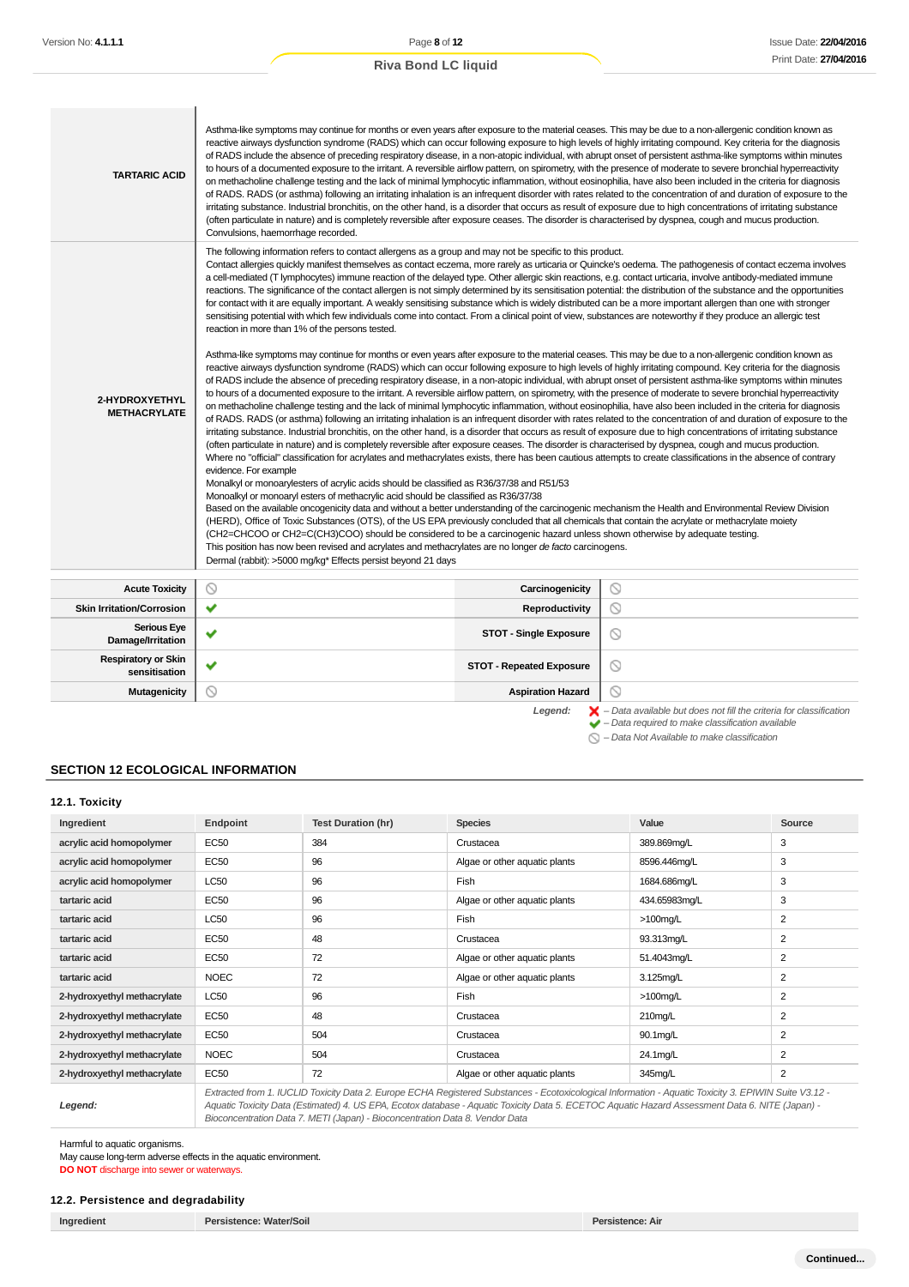| <b>Riva Bond LC liquid</b> |  |
|----------------------------|--|
|                            |  |

| <b>TARTARIC ACID</b>                        | Asthma-like symptoms may continue for months or even years after exposure to the material ceases. This may be due to a non-allergenic condition known as<br>reactive airways dysfunction syndrome (RADS) which can occur following exposure to high levels of highly irritating compound. Key criteria for the diagnosis<br>of RADS include the absence of preceding respiratory disease, in a non-atopic individual, with abrupt onset of persistent asthma-like symptoms within minutes<br>to hours of a documented exposure to the irritant. A reversible airflow pattern, on spirometry, with the presence of moderate to severe bronchial hyperreactivity<br>on methacholine challenge testing and the lack of minimal lymphocytic inflammation, without eosinophilia, have also been included in the criteria for diagnosis<br>of RADS. RADS (or asthma) following an irritating inhalation is an infrequent disorder with rates related to the concentration of and duration of exposure to the<br>irritating substance. Industrial bronchitis, on the other hand, is a disorder that occurs as result of exposure due to high concentrations of irritating substance<br>(often particulate in nature) and is completely reversible after exposure ceases. The disorder is characterised by dyspnea, cough and mucus production.<br>Convulsions, haemorrhage recorded.                                                                                                                                                                                                                                                                                                                                                                                                                                                                                                                                                                                                                                                                                                                                                                                                                                                                                                                                                                   |                                 |                |
|---------------------------------------------|-------------------------------------------------------------------------------------------------------------------------------------------------------------------------------------------------------------------------------------------------------------------------------------------------------------------------------------------------------------------------------------------------------------------------------------------------------------------------------------------------------------------------------------------------------------------------------------------------------------------------------------------------------------------------------------------------------------------------------------------------------------------------------------------------------------------------------------------------------------------------------------------------------------------------------------------------------------------------------------------------------------------------------------------------------------------------------------------------------------------------------------------------------------------------------------------------------------------------------------------------------------------------------------------------------------------------------------------------------------------------------------------------------------------------------------------------------------------------------------------------------------------------------------------------------------------------------------------------------------------------------------------------------------------------------------------------------------------------------------------------------------------------------------------------------------------------------------------------------------------------------------------------------------------------------------------------------------------------------------------------------------------------------------------------------------------------------------------------------------------------------------------------------------------------------------------------------------------------------------------------------------------------------------------------------------------------------------------------|---------------------------------|----------------|
| 2-HYDROXYETHYL<br><b>METHACRYLATE</b>       | The following information refers to contact allergens as a group and may not be specific to this product.<br>Contact allergies quickly manifest themselves as contact eczema, more rarely as urticaria or Quincke's oedema. The pathogenesis of contact eczema involves<br>a cell-mediated (T lymphocytes) immune reaction of the delayed type. Other allergic skin reactions, e.g. contact urticaria, involve antibody-mediated immune<br>reactions. The significance of the contact allergen is not simply determined by its sensitisation potential: the distribution of the substance and the opportunities<br>for contact with it are equally important. A weakly sensitising substance which is widely distributed can be a more important allergen than one with stronger<br>sensitising potential with which few individuals come into contact. From a clinical point of view, substances are noteworthy if they produce an allergic test<br>reaction in more than 1% of the persons tested.<br>Asthma-like symptoms may continue for months or even years after exposure to the material ceases. This may be due to a non-allergenic condition known as<br>reactive airways dysfunction syndrome (RADS) which can occur following exposure to high levels of highly irritating compound. Key criteria for the diagnosis<br>of RADS include the absence of preceding respiratory disease, in a non-atopic individual, with abrupt onset of persistent asthma-like symptoms within minutes<br>to hours of a documented exposure to the irritant. A reversible airflow pattern, on spirometry, with the presence of moderate to severe bronchial hyperreactivity<br>on methacholine challenge testing and the lack of minimal lymphocytic inflammation, without eosinophilia, have also been included in the criteria for diagnosis<br>of RADS. RADS (or asthma) following an irritating inhalation is an infrequent disorder with rates related to the concentration of and duration of exposure to the<br>irritating substance. Industrial bronchitis, on the other hand, is a disorder that occurs as result of exposure due to high concentrations of irritating substance<br>(often particulate in nature) and is completely reversible after exposure ceases. The disorder is characterised by dyspnea, cough and mucus production. |                                 |                |
|                                             | Where no "official" classification for acrylates and methacrylates exists, there has been cautious attempts to create classifications in the absence of contrary<br>evidence. For example<br>Monalkyl or monoarylesters of acrylic acids should be classified as R36/37/38 and R51/53<br>Monoalkyl or monoaryl esters of methacrylic acid should be classified as R36/37/38<br>Based on the available oncogenicity data and without a better understanding of the carcinogenic mechanism the Health and Environmental Review Division<br>(HERD), Office of Toxic Substances (OTS), of the US EPA previously concluded that all chemicals that contain the acrylate or methacrylate moiety<br>(CH2=CHCOO or CH2=C(CH3)COO) should be considered to be a carcinogenic hazard unless shown otherwise by adequate testing.<br>This position has now been revised and acrylates and methacrylates are no longer de facto carcinogens.<br>Dermal (rabbit): >5000 mg/kg* Effects persist beyond 21 days                                                                                                                                                                                                                                                                                                                                                                                                                                                                                                                                                                                                                                                                                                                                                                                                                                                                                                                                                                                                                                                                                                                                                                                                                                                                                                                                                |                                 |                |
| <b>Acute Toxicity</b>                       | ◎                                                                                                                                                                                                                                                                                                                                                                                                                                                                                                                                                                                                                                                                                                                                                                                                                                                                                                                                                                                                                                                                                                                                                                                                                                                                                                                                                                                                                                                                                                                                                                                                                                                                                                                                                                                                                                                                                                                                                                                                                                                                                                                                                                                                                                                                                                                                               | Carcinogenicity                 | $\circledcirc$ |
| <b>Skin Irritation/Corrosion</b>            | ✔                                                                                                                                                                                                                                                                                                                                                                                                                                                                                                                                                                                                                                                                                                                                                                                                                                                                                                                                                                                                                                                                                                                                                                                                                                                                                                                                                                                                                                                                                                                                                                                                                                                                                                                                                                                                                                                                                                                                                                                                                                                                                                                                                                                                                                                                                                                                               | Reproductivity                  | $\circ$        |
| <b>Serious Eye</b><br>Damage/Irritation     | ✔                                                                                                                                                                                                                                                                                                                                                                                                                                                                                                                                                                                                                                                                                                                                                                                                                                                                                                                                                                                                                                                                                                                                                                                                                                                                                                                                                                                                                                                                                                                                                                                                                                                                                                                                                                                                                                                                                                                                                                                                                                                                                                                                                                                                                                                                                                                                               | <b>STOT - Single Exposure</b>   | $\circ$        |
| <b>Respiratory or Skin</b><br>sensitisation | $\checkmark$                                                                                                                                                                                                                                                                                                                                                                                                                                                                                                                                                                                                                                                                                                                                                                                                                                                                                                                                                                                                                                                                                                                                                                                                                                                                                                                                                                                                                                                                                                                                                                                                                                                                                                                                                                                                                                                                                                                                                                                                                                                                                                                                                                                                                                                                                                                                    | <b>STOT - Repeated Exposure</b> | $\circ$        |
| <b>Mutagenicity</b>                         | Ñ                                                                                                                                                                                                                                                                                                                                                                                                                                                                                                                                                                                                                                                                                                                                                                                                                                                                                                                                                                                                                                                                                                                                                                                                                                                                                                                                                                                                                                                                                                                                                                                                                                                                                                                                                                                                                                                                                                                                                                                                                                                                                                                                                                                                                                                                                                                                               | <b>Aspiration Hazard</b>        | $\circ$        |

Legend:  $\blacktriangleright$  - Data available but does not fill the criteria for classification<br>  $\blacktriangleright$  - Data required to make classification available

 $\bigcirc$  – Data Not Available to make classification

## **SECTION 12 ECOLOGICAL INFORMATION**

| 12.1. Toxicity |  |
|----------------|--|
|----------------|--|

| Ingredient                  | <b>Endpoint</b>                                                                                                                                       | <b>Test Duration (hr)</b> | <b>Species</b>                | Value         | Source         |
|-----------------------------|-------------------------------------------------------------------------------------------------------------------------------------------------------|---------------------------|-------------------------------|---------------|----------------|
| acrylic acid homopolymer    | <b>EC50</b>                                                                                                                                           | 384                       | Crustacea                     | 389.869mg/L   | 3              |
| acrylic acid homopolymer    | <b>EC50</b>                                                                                                                                           | 96                        | Algae or other aquatic plants | 8596.446mg/L  | 3              |
| acrylic acid homopolymer    | LC50                                                                                                                                                  | 96                        | Fish                          | 1684.686mg/L  | 3              |
| tartaric acid               | EC50                                                                                                                                                  | 96                        | Algae or other aquatic plants | 434.65983mg/L | 3              |
| tartaric acid               | LC50                                                                                                                                                  | 96                        | Fish                          | $>100$ mg/L   | $\overline{2}$ |
| tartaric acid               | <b>EC50</b>                                                                                                                                           | 48                        | Crustacea                     | 93.313mg/L    | 2              |
| tartaric acid               | <b>EC50</b>                                                                                                                                           | 72                        | Algae or other aquatic plants | 51.4043mg/L   | 2              |
| tartaric acid               | <b>NOEC</b>                                                                                                                                           | 72                        | Algae or other aquatic plants | 3.125mg/L     | 2              |
| 2-hydroxyethyl methacrylate | LC50                                                                                                                                                  | 96                        | Fish                          | $>100$ mg/L   | 2              |
| 2-hydroxyethyl methacrylate | <b>EC50</b>                                                                                                                                           | 48                        | Crustacea                     | 210mg/L       | 2              |
| 2-hydroxyethyl methacrylate | <b>EC50</b>                                                                                                                                           | 504                       | Crustacea                     | 90.1mg/L      | $\overline{2}$ |
| 2-hydroxyethyl methacrylate | <b>NOEC</b>                                                                                                                                           | 504                       | Crustacea                     | 24.1mg/L      | 2              |
| 2-hydroxyethyl methacrylate | <b>EC50</b>                                                                                                                                           | 72                        | Algae or other aquatic plants | 345mg/L       | 2              |
|                             | Extracted from 1. IUCLID Toxicity Data 2. Europe ECHA Registered Substances - Ecotoxicological Information - Aquatic Toxicity 3. EPIWIN Suite V3.12 - |                           |                               |               |                |

**Legend:**

Aquatic Toxicity Data (Estimated) 4. US EPA, Ecotox database - Aquatic Toxicity Data 5. ECETOC Aquatic Hazard Assessment Data 6. NITE (Japan) - Bioconcentration Data 7. METI (Japan) - Bioconcentration Data 8. Vendor Data

Harmful to aquatic organisms.

May cause long-term adverse effects in the aquatic environment. **DO NOT** discharge into sewer or waterways.

#### **12.2. Persistence and degradability**

**Ingredient Persistence: Water/Soil Persistence: Air**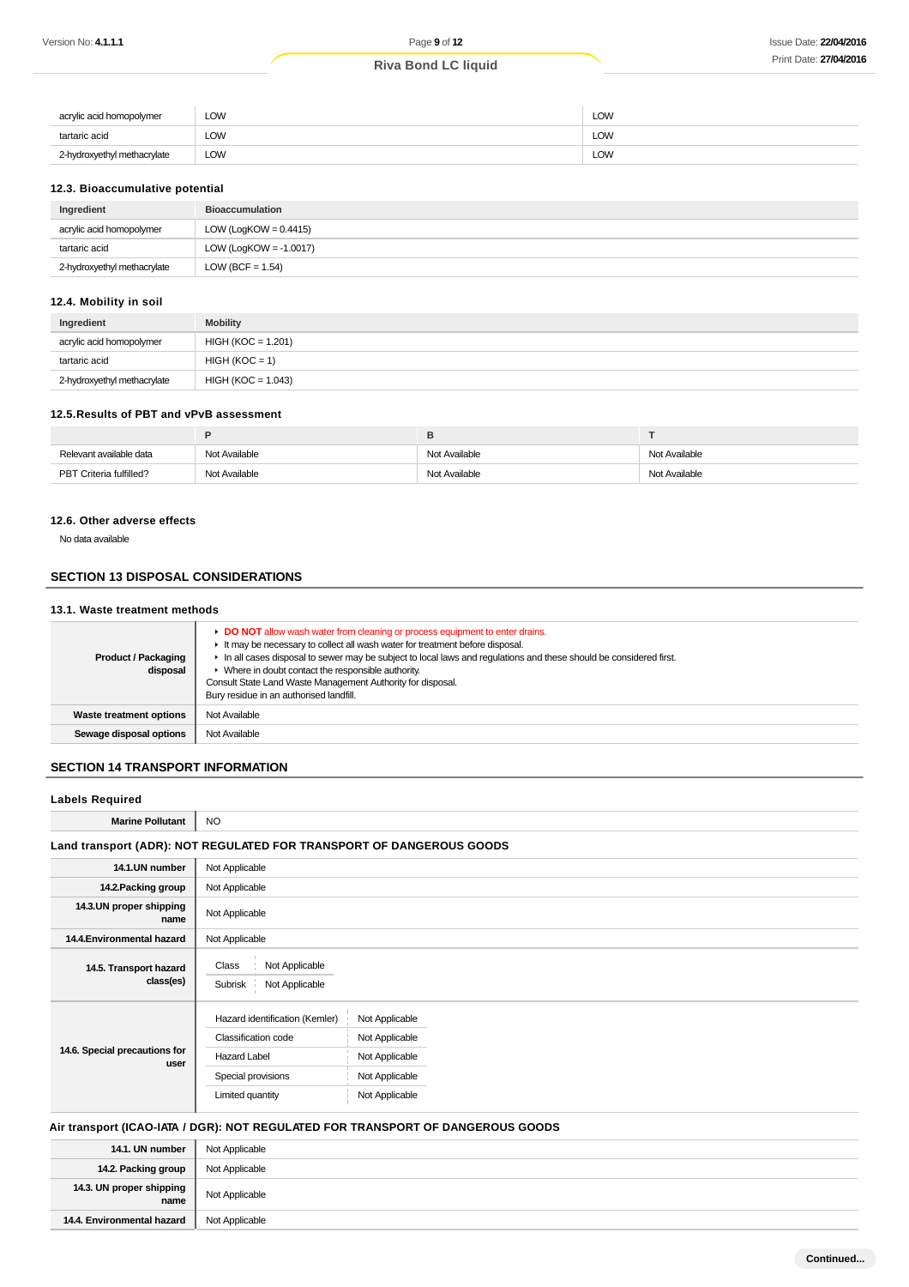| acrylic acid homopolymer    | LOW | LOW |
|-----------------------------|-----|-----|
| tartaric acid               | LOW | LOW |
| 2-hydroxyethyl methacrylate | LOW | LOW |

#### **12.3. Bioaccumulative potential**

| Ingredient                  | <b>Bioaccumulation</b>    |
|-----------------------------|---------------------------|
| acrylic acid homopolymer    | LOW (LogKOW = $0.4415$ )  |
| tartaric acid               | LOW (LogKOW = $-1.0017$ ) |
| 2-hydroxyethyl methacrylate | LOW (BCF = $1.54$ )       |

## **12.4. Mobility in soil**

| Ingredient                  | <b>Mobility</b>      |
|-----------------------------|----------------------|
| acrylic acid homopolymer    | $HIGH (KOC = 1.201)$ |
| tartaric acid               | $HIGH (KOC = 1)$     |
| 2-hydroxyethyl methacrylate | $HIGH (KOC = 1.043)$ |

#### **12.5.Results of PBT and vPvB assessment**

| Relevant available data | Not Available | Not Available | Not Available |
|-------------------------|---------------|---------------|---------------|
| PBT Criteria fulfilled? | Not Available | Not Available | Not Available |

#### **12.6. Other adverse effects**

No data available

#### **SECTION 13 DISPOSAL CONSIDERATIONS**

#### **13.1. Waste treatment methods**

| <b>Product / Packaging</b><br>disposal | DO NOT allow wash water from cleaning or process equipment to enter drains.<br>It may be necessary to collect all wash water for treatment before disposal.<br>In all cases disposal to sewer may be subject to local laws and requlations and these should be considered first.<br>▶ Where in doubt contact the responsible authority.<br>Consult State Land Waste Management Authority for disposal.<br>Bury residue in an authorised landfill. |
|----------------------------------------|---------------------------------------------------------------------------------------------------------------------------------------------------------------------------------------------------------------------------------------------------------------------------------------------------------------------------------------------------------------------------------------------------------------------------------------------------|
| Waste treatment options                | Not Available                                                                                                                                                                                                                                                                                                                                                                                                                                     |
| Sewage disposal options                | Not Available                                                                                                                                                                                                                                                                                                                                                                                                                                     |
|                                        |                                                                                                                                                                                                                                                                                                                                                                                                                                                   |

#### **SECTION 14 TRANSPORT INFORMATION**

#### **Labels Required**

**Marine Pollutant** NO

### **Land transport (ADR): NOT REGULATED FOR TRANSPORT OF DANGEROUS GOODS**

| 14.1.UN number                        | Not Applicable                                                                                                         |                                                                                        |  |  |  |
|---------------------------------------|------------------------------------------------------------------------------------------------------------------------|----------------------------------------------------------------------------------------|--|--|--|
| 14.2. Packing group                   | Not Applicable                                                                                                         |                                                                                        |  |  |  |
| 14.3.UN proper shipping<br>name       | Not Applicable                                                                                                         |                                                                                        |  |  |  |
| 14.4. Environmental hazard            | Not Applicable                                                                                                         |                                                                                        |  |  |  |
| 14.5. Transport hazard<br>class(es)   | Class<br>Not Applicable<br>Not Applicable<br>Subrisk                                                                   |                                                                                        |  |  |  |
| 14.6. Special precautions for<br>user | Hazard identification (Kemler)<br>Classification code<br><b>Hazard Label</b><br>Special provisions<br>Limited quantity | Not Applicable<br>Not Applicable<br>Not Applicable<br>Not Applicable<br>Not Applicable |  |  |  |

#### **Air transport (ICAO-IATA / DGR): NOT REGULATED FOR TRANSPORT OF DANGEROUS GOODS**

| 14.1. UN number                  | Not Applicable |
|----------------------------------|----------------|
| 14.2. Packing group              | Not Applicable |
| 14.3. UN proper shipping<br>name | Not Applicable |
| 14.4. Environmental hazard       | Not Applicable |
|                                  |                |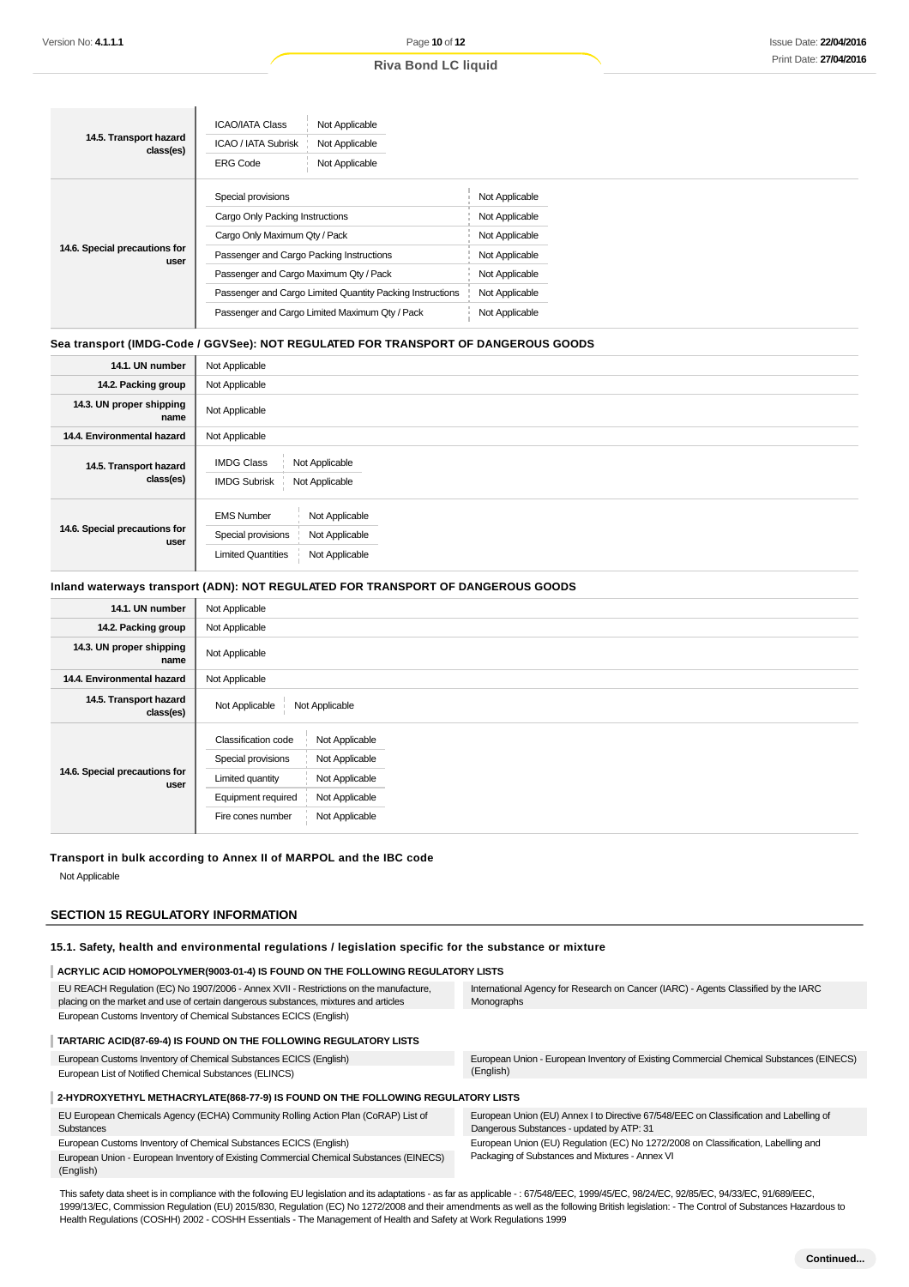| 14.5. Transport hazard<br>class(es)   | <b>ICAO/IATA Class</b><br>Not Applicable<br>ICAO / IATA Subrisk<br>Not Applicable<br><b>ERG Code</b><br>Not Applicable |                |
|---------------------------------------|------------------------------------------------------------------------------------------------------------------------|----------------|
|                                       | Special provisions                                                                                                     | Not Applicable |
|                                       | Cargo Only Packing Instructions                                                                                        | Not Applicable |
|                                       | Cargo Only Maximum Qty / Pack                                                                                          | Not Applicable |
| 14.6. Special precautions for<br>user | Passenger and Cargo Packing Instructions                                                                               | Not Applicable |
|                                       | Passenger and Cargo Maximum Qty / Pack                                                                                 | Not Applicable |
|                                       | Passenger and Cargo Limited Quantity Packing Instructions                                                              | Not Applicable |
|                                       | Passenger and Cargo Limited Maximum Qty / Pack                                                                         | Not Applicable |
|                                       |                                                                                                                        |                |

#### **Sea transport (IMDG-Code / GGVSee): NOT REGULATED FOR TRANSPORT OF DANGEROUS GOODS**

| 14.1. UN number                       | Not Applicable                                                                                                             |
|---------------------------------------|----------------------------------------------------------------------------------------------------------------------------|
| 14.2. Packing group                   | Not Applicable                                                                                                             |
| 14.3. UN proper shipping<br>name      | Not Applicable                                                                                                             |
| 14.4. Environmental hazard            | Not Applicable                                                                                                             |
| 14.5. Transport hazard<br>class(es)   | <b>IMDG Class</b><br>Not Applicable<br><b>IMDG Subrisk</b><br>Not Applicable                                               |
| 14.6. Special precautions for<br>user | Not Applicable<br><b>EMS Number</b><br>Special provisions<br>Not Applicable<br><b>Limited Quantities</b><br>Not Applicable |

#### **Inland waterways transport (ADN): NOT REGULATED FOR TRANSPORT OF DANGEROUS GOODS**

| 14.1. UN number                       | Not Applicable                                                                                                                                                                                            |
|---------------------------------------|-----------------------------------------------------------------------------------------------------------------------------------------------------------------------------------------------------------|
| 14.2. Packing group                   | Not Applicable                                                                                                                                                                                            |
| 14.3. UN proper shipping<br>name      | Not Applicable                                                                                                                                                                                            |
| 14.4. Environmental hazard            | Not Applicable                                                                                                                                                                                            |
| 14.5. Transport hazard<br>class(es)   | Not Applicable<br>Not Applicable                                                                                                                                                                          |
| 14.6. Special precautions for<br>user | <b>Classification code</b><br>Not Applicable<br>Special provisions<br>Not Applicable<br>Not Applicable<br>Limited quantity<br>Equipment required<br>Not Applicable<br>Not Applicable<br>Fire cones number |

#### **Transport in bulk according to Annex II of MARPOL and the IBC code**

Not Applicable

## **SECTION 15 REGULATORY INFORMATION**

**15.1. Safety, health and environmental regulations / legislation specific for the substance or mixture**

| ACRYLIC ACID HOMOPOLYMER(9003-01-4) IS FOUND ON THE FOLLOWING REGULATORY LISTS                                                                                                |                                                                                                                                     |
|-------------------------------------------------------------------------------------------------------------------------------------------------------------------------------|-------------------------------------------------------------------------------------------------------------------------------------|
| EU REACH Regulation (EC) No 1907/2006 - Annex XVII - Restrictions on the manufacture,<br>placing on the market and use of certain dangerous substances, mixtures and articles | International Agency for Research on Cancer (IARC) - Agents Classified by the IARC<br>Monographs                                    |
| European Customs Inventory of Chemical Substances ECICS (English)                                                                                                             |                                                                                                                                     |
| TARTARIC ACID(87-69-4) IS FOUND ON THE FOLLOWING REGULATORY LISTS                                                                                                             |                                                                                                                                     |
| European Customs Inventory of Chemical Substances ECICS (English)                                                                                                             | European Union - European Inventory of Existing Commercial Chemical Substances (EINECS)                                             |
| European List of Notified Chemical Substances (ELINCS)                                                                                                                        | (English)                                                                                                                           |
| 2-HYDROXYETHYL METHACRYLATE(868-77-9) IS FOUND ON THE FOLLOWING REGULATORY LISTS                                                                                              |                                                                                                                                     |
| EU European Chemicals Agency (ECHA) Community Rolling Action Plan (CoRAP) List of<br>Substances                                                                               | European Union (EU) Annex I to Directive 67/548/EEC on Classification and Labelling of<br>Dangerous Substances - updated by ATP: 31 |
| European Customs Inventory of Chemical Substances ECICS (English)                                                                                                             | European Union (EU) Regulation (EC) No 1272/2008 on Classification, Labelling and                                                   |
| European Union - European Inventory of Existing Commercial Chemical Substances (EINECS)<br>(English)                                                                          | Packaging of Substances and Mixtures - Annex VI                                                                                     |

This safety data sheet is in compliance with the following EU legislation and its adaptations - as far as applicable -: 67/548/EEC, 1999/45/EC, 98/24/EC, 92/85/EC, 94/33/EC, 91/689/EEC, 1999/13/EC, Commission Regulation (EU) 2015/830, Regulation (EC) No 1272/2008 and their amendments as well as the following British legislation: - The Control of Substances Hazardous to Health Regulations (COSHH) 2002 - COSHH Essentials - The Management of Health and Safety at Work Regulations 1999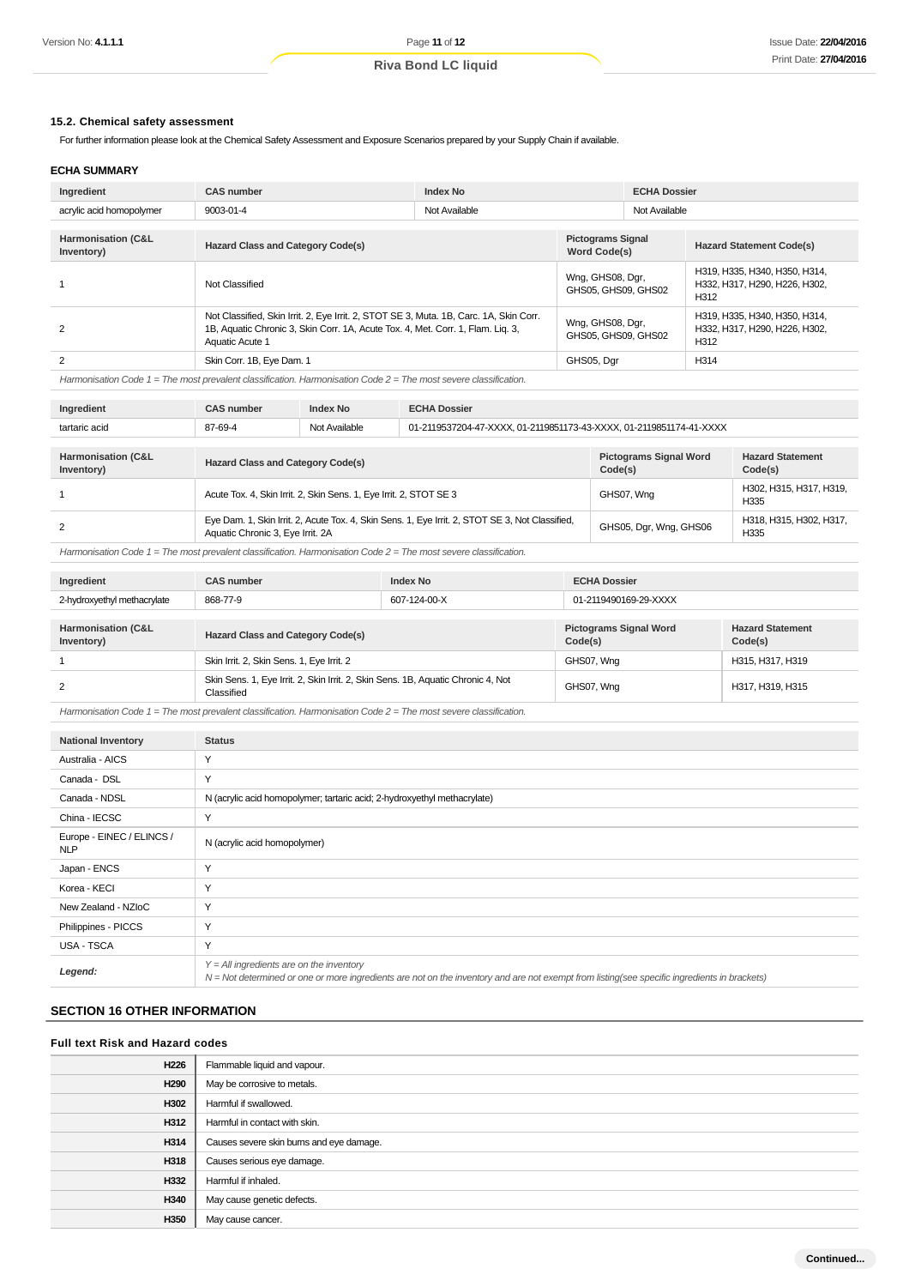#### **15.2. Chemical safety assessment**

For further information please look at the Chemical Safety Assessment and Exposure Scenarios prepared by your Supply Chain if available.

#### **ECHA SUMMARY**

| Ingredient                                  | <b>Index No</b><br><b>CAS number</b>                                                                                                                                                         |  | <b>ECHA Dossier</b>                             |  |                                                                        |  |
|---------------------------------------------|----------------------------------------------------------------------------------------------------------------------------------------------------------------------------------------------|--|-------------------------------------------------|--|------------------------------------------------------------------------|--|
| acrylic acid homopolymer                    | 9003-01-4<br>Not Available                                                                                                                                                                   |  | Not Available                                   |  |                                                                        |  |
| <b>Harmonisation (C&amp;L</b><br>Inventory) | <b>Hazard Class and Category Code(s)</b>                                                                                                                                                     |  | <b>Pictograms Signal</b><br><b>Word Code(s)</b> |  | <b>Hazard Statement Code(s)</b>                                        |  |
|                                             | Not Classified                                                                                                                                                                               |  | Wng, GHS08, Dgr,<br>GHS05, GHS09, GHS02         |  | H319, H335, H340, H350, H314,<br>H332, H317, H290, H226, H302,<br>H312 |  |
| 2                                           | Not Classified, Skin Irrit. 2, Eye Irrit. 2, STOT SE 3, Muta. 1B, Carc. 1A, Skin Corr.<br>1B, Aquatic Chronic 3, Skin Corr. 1A, Acute Tox. 4, Met. Corr. 1, Flam. Lig. 3,<br>Aquatic Acute 1 |  | Wng, GHS08, Dgr,<br>GHS05, GHS09, GHS02         |  | H319, H335, H340, H350, H314,<br>H332, H317, H290, H226, H302.<br>H312 |  |
| 2                                           | Skin Corr. 1B, Eye Dam. 1                                                                                                                                                                    |  | GHS05, Dgr                                      |  | H314                                                                   |  |

Harmonisation Code 1 = The most prevalent classification. Harmonisation Code 2 = The most severe classification.

| Ingredient                                  | <b>CAS number</b>                                                                                                                   | <b>Index No</b>                                                                      | <b>ECHA Dossier</b>                      |                                    |  |  |
|---------------------------------------------|-------------------------------------------------------------------------------------------------------------------------------------|--------------------------------------------------------------------------------------|------------------------------------------|------------------------------------|--|--|
| tartaric acid                               | 87-69-4                                                                                                                             | Not Available<br>01-2119537204-47-XXXX, 01-2119851173-43-XXXX, 01-2119851174-41-XXXX |                                          |                                    |  |  |
|                                             |                                                                                                                                     |                                                                                      |                                          |                                    |  |  |
| <b>Harmonisation (C&amp;L</b><br>Inventory) | <b>Hazard Class and Category Code(s)</b>                                                                                            |                                                                                      | <b>Pictograms Signal Word</b><br>Code(s) | <b>Hazard Statement</b><br>Code(s) |  |  |
|                                             | Acute Tox. 4, Skin Irrit. 2, Skin Sens. 1, Eye Irrit. 2, STOT SE 3                                                                  |                                                                                      | GHS07, Wng                               | H302, H315, H317, H319,<br>H335    |  |  |
| 2                                           | Eye Dam. 1, Skin Irrit. 2, Acute Tox. 4, Skin Sens. 1, Eye Irrit. 2, STOT SE 3, Not Classified,<br>Aquatic Chronic 3, Eye Irrit. 2A |                                                                                      | GHS05, Dgr, Wng, GHS06                   | H318, H315, H302, H317,<br>H335    |  |  |

Harmonisation Code  $1 =$  The most prevalent classification. Harmonisation Code  $2 =$  The most severe classification.

| Ingredient                                  | <b>CAS number</b>                                                                              | Index No | <b>ECHA Dossier</b>                      |                                    |  |
|---------------------------------------------|------------------------------------------------------------------------------------------------|----------|------------------------------------------|------------------------------------|--|
| 2-hydroxyethyl methacrylate                 | 607-124-00-X<br>868-77-9                                                                       |          | 01-2119490169-29-XXXX                    |                                    |  |
|                                             |                                                                                                |          |                                          |                                    |  |
| <b>Harmonisation (C&amp;L</b><br>Inventory) | <b>Hazard Class and Category Code(s)</b>                                                       |          | <b>Pictograms Signal Word</b><br>Code(s) | <b>Hazard Statement</b><br>Code(s) |  |
|                                             | Skin Irrit. 2, Skin Sens. 1, Eye Irrit. 2                                                      |          | GHS07, Wng                               | H315, H317, H319                   |  |
| 2                                           | Skin Sens. 1, Eye Irrit. 2, Skin Irrit. 2, Skin Sens. 1B, Aquatic Chronic 4, Not<br>Classified |          | GHS07, Wng                               | H317, H319, H315                   |  |

Harmonisation Code 1 = The most prevalent classification. Harmonisation Code 2 = The most severe classification.

| <b>National Inventory</b>               | <b>Status</b>                                                                                                                                                                                |
|-----------------------------------------|----------------------------------------------------------------------------------------------------------------------------------------------------------------------------------------------|
| Australia - AICS                        | Y                                                                                                                                                                                            |
| Canada - DSL                            | Y                                                                                                                                                                                            |
| Canada - NDSL                           | N (acrylic acid homopolymer; tartaric acid; 2-hydroxyethyl methacrylate)                                                                                                                     |
| China - IECSC                           | Y                                                                                                                                                                                            |
| Europe - EINEC / ELINCS /<br><b>NLP</b> | N (acrylic acid homopolymer)                                                                                                                                                                 |
| Japan - ENCS                            | Y                                                                                                                                                                                            |
| Korea - KECI                            | Y                                                                                                                                                                                            |
| New Zealand - NZIoC                     | Y                                                                                                                                                                                            |
| Philippines - PICCS                     | Y                                                                                                                                                                                            |
| USA - TSCA                              | Y                                                                                                                                                                                            |
| Legend:                                 | $Y = All$ ingredients are on the inventory<br>$N = Not$ determined or one or more ingredients are not on the inventory and are not exempt from listing(see specific ingredients in brackets) |

## **SECTION 16 OTHER INFORMATION**

#### **Full text Risk and Hazard codes**

| H226 | Flammable liquid and vapour.             |
|------|------------------------------------------|
| H290 | May be corrosive to metals.              |
| H302 | Harmful if swallowed.                    |
| H312 | Harmful in contact with skin.            |
| H314 | Causes severe skin burns and eye damage. |
| H318 | Causes serious eye damage.               |
| H332 | Harmful if inhaled.                      |
| H340 | May cause genetic defects.               |
| H350 | May cause cancer.                        |